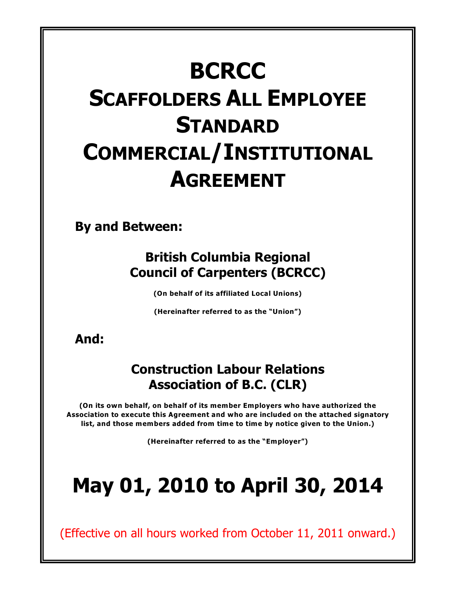# **BCRCC SCAFFOLDERS ALL EMPLOYEE STANDARD COMMERCIAL/INSTITUTIONAL AGREEMENT**

**By and Between:**

## **British Columbia Regional Council of Carpenters (BCRCC)**

**(On behalf of its affiliated Local Unions)**

**(Hereinafter referred to as the "Union")**

**And:**

## **Construction Labour Relations Association of B.C. (CLR)**

**(On its own behalf, on behalf of its member Employers who have authorized the Association to execute this Agreement and who are included on the attached signatory list, and those members added from time to time by notice given to the Union.)**

**(Hereinafter referred to as the "Employer")**

# **May 01, 2010 to April 30, 2014**

(Effective on all hours worked from October 11, 2011 onward.)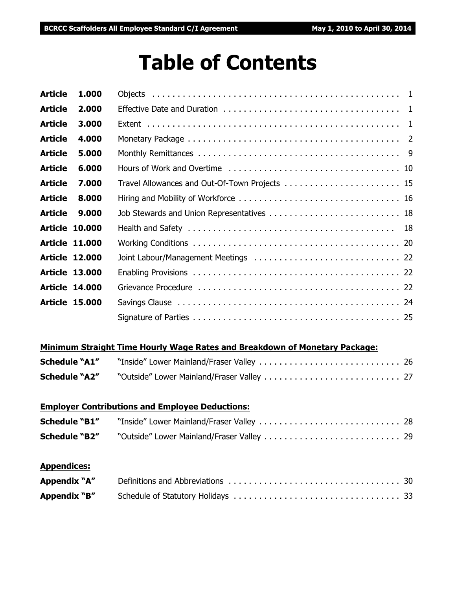## **Table of Contents**

| 1.000 |                                                                                                                                                    |
|-------|----------------------------------------------------------------------------------------------------------------------------------------------------|
| 2.000 |                                                                                                                                                    |
| 3.000 |                                                                                                                                                    |
| 4.000 |                                                                                                                                                    |
| 5.000 |                                                                                                                                                    |
| 6.000 |                                                                                                                                                    |
| 7.000 |                                                                                                                                                    |
| 8.000 |                                                                                                                                                    |
| 9.000 |                                                                                                                                                    |
|       |                                                                                                                                                    |
|       |                                                                                                                                                    |
|       |                                                                                                                                                    |
|       |                                                                                                                                                    |
|       |                                                                                                                                                    |
|       |                                                                                                                                                    |
|       |                                                                                                                                                    |
|       | <b>Article 10.000</b><br><b>Article 11.000</b><br><b>Article 12.000</b><br><b>Article 13.000</b><br><b>Article 14.000</b><br><b>Article 15.000</b> |

#### **Minimum Straight Time Hourly Wage Rates and Breakdown of Monetary Package:**

| <b>Schedule "A1"</b> |  |
|----------------------|--|
| <b>Schedule "A2"</b> |  |

## **Employer Contributions and Employee Deductions:**

| <b>Schedule "B1"</b> |  |
|----------------------|--|
|                      |  |

#### **Appendices:**

| Appendix "A" |  |
|--------------|--|
| Appendix "B" |  |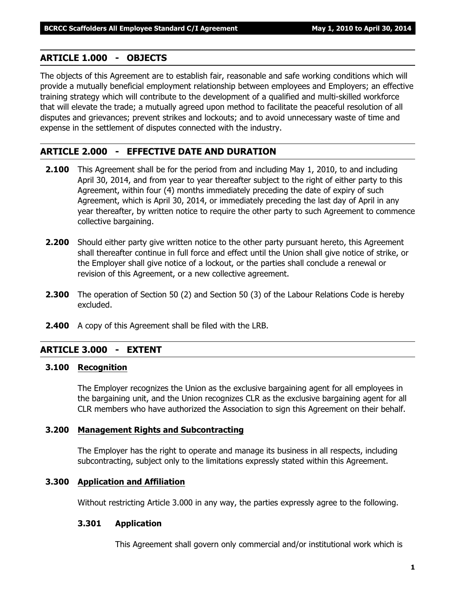#### **ARTICLE 1.000 - OBJECTS**

The objects of this Agreement are to establish fair, reasonable and safe working conditions which will provide a mutually beneficial employment relationship between employees and Employers; an effective training strategy which will contribute to the development of a qualified and multi-skilled workforce that will elevate the trade; a mutually agreed upon method to facilitate the peaceful resolution of all disputes and grievances; prevent strikes and lockouts; and to avoid unnecessary waste of time and expense in the settlement of disputes connected with the industry.

#### **ARTICLE 2.000 - EFFECTIVE DATE AND DURATION**

- **2.100** This Agreement shall be for the period from and including May 1, 2010, to and including April 30, 2014, and from year to year thereafter subject to the right of either party to this Agreement, within four (4) months immediately preceding the date of expiry of such Agreement, which is April 30, 2014, or immediately preceding the last day of April in any year thereafter, by written notice to require the other party to such Agreement to commence collective bargaining.
- **2.200** Should either party give written notice to the other party pursuant hereto, this Agreement shall thereafter continue in full force and effect until the Union shall give notice of strike, or the Employer shall give notice of a lockout, or the parties shall conclude a renewal or revision of this Agreement, or a new collective agreement.
- **2.300** The operation of Section 50 (2) and Section 50 (3) of the *Labour Relations Code* is hereby excluded.
- **2.400** A copy of this Agreement shall be filed with the LRB.

#### **ARTICLE 3.000 - EXTENT**

#### **3.100 Recognition**

The Employer recognizes the Union as the exclusive bargaining agent for all employees in the bargaining unit, and the Union recognizes CLR as the exclusive bargaining agent for all CLR members who have authorized the Association to sign this Agreement on their behalf.

#### **3.200 Management Rights and Subcontracting**

The Employer has the right to operate and manage its business in all respects, including subcontracting, subject only to the limitations expressly stated within this Agreement.

#### **3.300 Application and Affiliation**

Without restricting Article 3.000 in any way, the parties expressly agree to the following.

#### **3.301 Application**

This Agreement shall govern only commercial and/or institutional work which is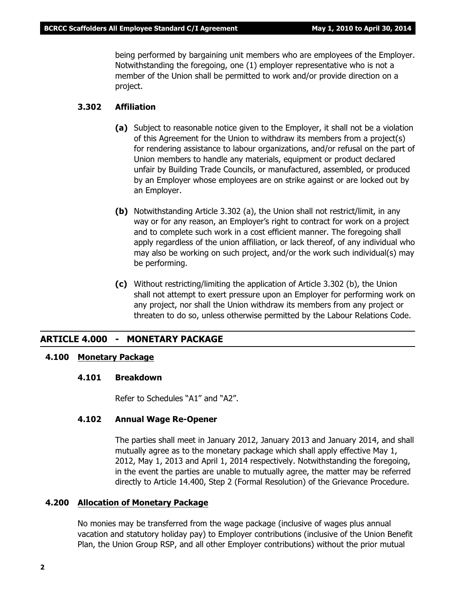being performed by bargaining unit members who are employees of the Employer. Notwithstanding the foregoing, one (1) employer representative who is not a member of the Union shall be permitted to work and/or provide direction on a project.

#### **3.302 Affiliation**

- **(a)** Subject to reasonable notice given to the Employer, it shall not be a violation of this Agreement for the Union to withdraw its members from a project(s) for rendering assistance to labour organizations, and/or refusal on the part of Union members to handle any materials, equipment or product declared unfair by Building Trade Councils, or manufactured, assembled, or produced by an Employer whose employees are on strike against or are locked out by an Employer.
- **(b)** Notwithstanding Article 3.302 (a), the Union shall not restrict/limit, in any way or for any reason, an Employer's right to contract for work on a project and to complete such work in a cost efficient manner. The foregoing shall apply regardless of the union affiliation, or lack thereof, of any individual who may also be working on such project, and/or the work such individual(s) may be performing.
- **(c)** Without restricting/limiting the application of Article 3.302 (b), the Union shall not attempt to exert pressure upon an Employer for performing work on any project, nor shall the Union withdraw its members from any project or threaten to do so, unless otherwise permitted by the *Labour Relations Code*.

#### **ARTICLE 4.000 - MONETARY PACKAGE**

#### **4.100 Monetary Package**

#### **4.101 Breakdown**

Refer to Schedules "A1" and "A2".

#### **4.102 Annual Wage Re-Opener**

The parties shall meet in January 2012, January 2013 and January 2014, and shall mutually agree as to the monetary package which shall apply effective May 1, 2012, May 1, 2013 and April 1, 2014 respectively. Notwithstanding the foregoing, in the event the parties are unable to mutually agree, the matter may be referred directly to Article 14.400, Step 2 (Formal Resolution) of the Grievance Procedure.

#### **4.200 Allocation of Monetary Package**

No monies may be transferred from the wage package (inclusive of wages plus annual vacation and statutory holiday pay) to Employer contributions (inclusive of the Union Benefit Plan, the Union Group RSP, and all other Employer contributions) without the prior mutual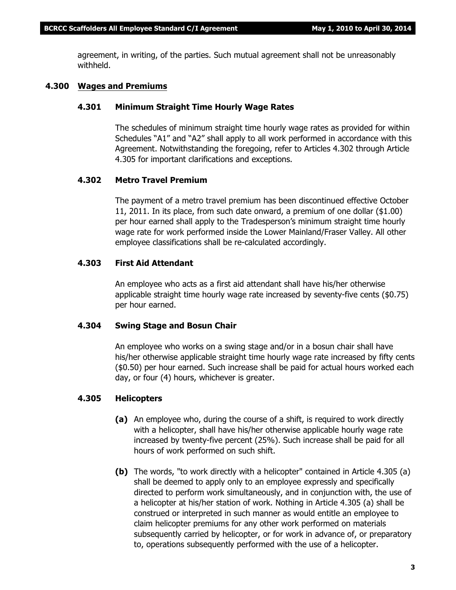agreement, in writing, of the parties. Such mutual agreement shall not be unreasonably withheld.

#### **4.300 Wages and Premiums**

#### **4.301 Minimum Straight Time Hourly Wage Rates**

The schedules of minimum straight time hourly wage rates as provided for within Schedules "A1" and "A2" shall apply to all work performed in accordance with this Agreement. Notwithstanding the foregoing, refer to Articles 4.302 through Article 4.305 for important clarifications and exceptions.

#### **4.302 Metro Travel Premium**

The payment of a metro travel premium has been discontinued effective October 11, 2011. In its place, from such date onward, a premium of one dollar (\$1.00) per hour earned shall apply to the Tradesperson's minimum straight time hourly wage rate for work performed inside the Lower Mainland/Fraser Valley. All other employee classifications shall be re-calculated accordingly.

#### **4.303 First Aid Attendant**

An employee who acts as a first aid attendant shall have his/her otherwise applicable straight time hourly wage rate increased by seventy-five cents (\$0.75) per hour earned.

#### **4.304 Swing Stage and Bosun Chair**

An employee who works on a swing stage and/or in a bosun chair shall have his/her otherwise applicable straight time hourly wage rate increased by fifty cents (\$0.50) per hour earned. Such increase shall be paid for actual hours worked each day, or four (4) hours, whichever is greater.

#### **4.305 Helicopters**

- **(a)** An employee who, during the course of a shift, is required to work directly with a helicopter, shall have his/her otherwise applicable hourly wage rate increased by twenty-five percent (25%). Such increase shall be paid for all hours of work performed on such shift.
- **(b)** The words, "to work directly with a helicopter" contained in Article 4.305 (a) shall be deemed to apply only to an employee expressly and specifically directed to perform work simultaneously, and in conjunction with, the use of a helicopter at his/her station of work. Nothing in Article 4.305 (a) shall be construed or interpreted in such manner as would entitle an employee to claim helicopter premiums for any other work performed on materials subsequently carried by helicopter, or for work in advance of, or preparatory to, operations subsequently performed with the use of a helicopter.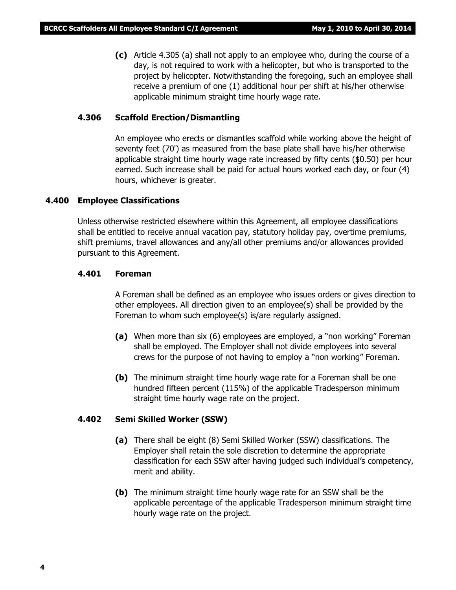**(c)** Article 4.305 (a) shall not apply to an employee who, during the course of a day, is not required to work with a helicopter, but who is transported to the project by helicopter. Notwithstanding the foregoing, such an employee shall receive a premium of one (1) additional hour per shift at his/her otherwise applicable minimum straight time hourly wage rate.

#### **4.306 Scaffold Erection/Dismantling**

An employee who erects or dismantles scaffold while working above the height of seventy feet (70') as measured from the base plate shall have his/her otherwise applicable straight time hourly wage rate increased by fifty cents (\$0.50) per hour earned. Such increase shall be paid for actual hours worked each day, or four (4) hours, whichever is greater.

#### **4.400 Employee Classifications**

Unless otherwise restricted elsewhere within this Agreement, all employee classifications shall be entitled to receive annual vacation pay, statutory holiday pay, overtime premiums, shift premiums, travel allowances and any/all other premiums and/or allowances provided pursuant to this Agreement.

#### **4.401 Foreman**

A Foreman shall be defined as an employee who issues orders or gives direction to other employees. All direction given to an employee(s) shall be provided by the Foreman to whom such employee(s) is/are regularly assigned.

- **(a)** When more than six (6) employees are employed, a "non working" Foreman shall be employed. The Employer shall not divide employees into several crews for the purpose of not having to employ a "non working" Foreman.
- **(b)** The minimum straight time hourly wage rate for a Foreman shall be one hundred fifteen percent (115%) of the applicable Tradesperson minimum straight time hourly wage rate on the project.

#### **4.402 Semi Skilled Worker (SSW)**

- **(a)** There shall be eight (8) Semi Skilled Worker (SSW) classifications. The Employer shall retain the sole discretion to determine the appropriate classification for each SSW after having judged such individual's competency, merit and ability.
- **(b)** The minimum straight time hourly wage rate for an SSW shall be the applicable percentage of the applicable Tradesperson minimum straight time hourly wage rate on the project.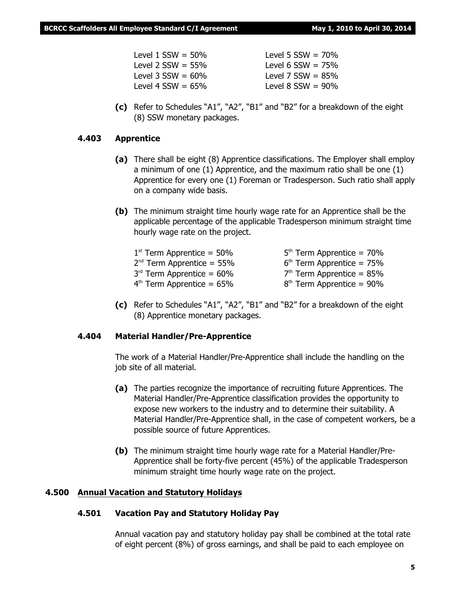| Level $1$ SSW = 50%  | Level 5 $SSW = 70\%$ |
|----------------------|----------------------|
| Level 2 $SSW = 55\%$ | Level 6 $SSW = 75\%$ |
| Level 3 $SSW = 60\%$ | Level 7 $SSW = 85\%$ |
| Level 4 $SSW = 65\%$ | Level 8 $SSW = 90\%$ |
|                      |                      |

**(c)** Refer to Schedules "A1", "A2", "B1" and "B2" for a breakdown of the eight (8) SSW monetary packages.

#### **4.403 Apprentice**

- **(a)** There shall be eight (8) Apprentice classifications. The Employer shall employ a minimum of one (1) Apprentice, and the maximum ratio shall be one (1) Apprentice for every one (1) Foreman or Tradesperson. Such ratio shall apply on a company wide basis.
- **(b)** The minimum straight time hourly wage rate for an Apprentice shall be the applicable percentage of the applicable Tradesperson minimum straight time hourly wage rate on the project.

| $1st$ Term Apprentice = 50% | $5th$ Term Apprentice = 70% |
|-----------------------------|-----------------------------|
| $2nd$ Term Apprentice = 55% | $6th$ Term Apprentice = 75% |
| $3rd$ Term Apprentice = 60% | $7th$ Term Apprentice = 85% |
| $4th$ Term Apprentice = 65% | $8th$ Term Apprentice = 90% |

**(c)** Refer to Schedules "A1", "A2", "B1" and "B2" for a breakdown of the eight (8) Apprentice monetary packages.

#### **4.404 Material Handler/Pre-Apprentice**

The work of a Material Handler/Pre-Apprentice shall include the handling on the job site of all material.

- **(a)** The parties recognize the importance of recruiting future Apprentices. The Material Handler/Pre-Apprentice classification provides the opportunity to expose new workers to the industry and to determine their suitability. A Material Handler/Pre-Apprentice shall, in the case of competent workers, be a possible source of future Apprentices.
- **(b)** The minimum straight time hourly wage rate for a Material Handler/Pre-Apprentice shall be forty-five percent (45%) of the applicable Tradesperson minimum straight time hourly wage rate on the project.

#### **4.500 Annual Vacation and Statutory Holidays**

#### **4.501 Vacation Pay and Statutory Holiday Pay**

Annual vacation pay and statutory holiday pay shall be combined at the total rate of eight percent (8%) of gross earnings, and shall be paid to each employee on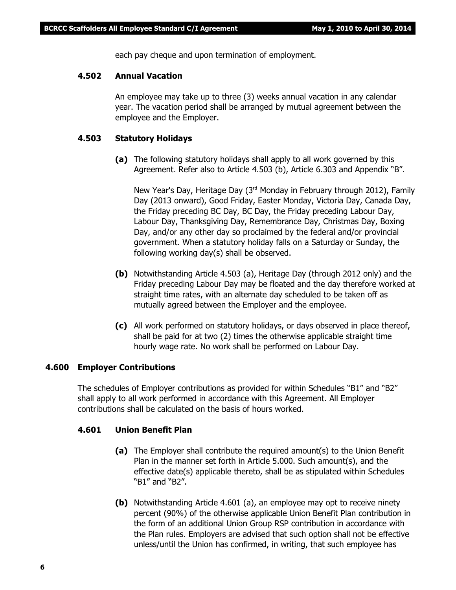each pay cheque and upon termination of employment.

#### **4.502 Annual Vacation**

An employee may take up to three (3) weeks annual vacation in any calendar year. The vacation period shall be arranged by mutual agreement between the employee and the Employer.

#### **4.503 Statutory Holidays**

**(a)** The following statutory holidays shall apply to all work governed by this Agreement. Refer also to Article 4.503 (b), Article 6.303 and Appendix "B".

New Year's Day, Heritage Day (3<sup>rd</sup> Monday in February through 2012), Family Day (2013 onward), Good Friday, Easter Monday, Victoria Day, Canada Day, the Friday preceding BC Day, BC Day, the Friday preceding Labour Day, Labour Day, Thanksgiving Day, Remembrance Day, Christmas Day, Boxing Day, and/or any other day so proclaimed by the federal and/or provincial government. When a statutory holiday falls on a Saturday or Sunday, the following working day(s) shall be observed.

- **(b)** Notwithstanding Article 4.503 (a), Heritage Day (through 2012 only) and the Friday preceding Labour Day may be floated and the day therefore worked at straight time rates, with an alternate day scheduled to be taken off as mutually agreed between the Employer and the employee.
- **(c)** All work performed on statutory holidays, or days observed in place thereof, shall be paid for at two (2) times the otherwise applicable straight time hourly wage rate. No work shall be performed on Labour Day.

#### **4.600 Employer Contributions**

The schedules of Employer contributions as provided for within Schedules "B1" and "B2" shall apply to all work performed in accordance with this Agreement. All Employer contributions shall be calculated on the basis of hours worked.

#### **4.601 Union Benefit Plan**

- **(a)** The Employer shall contribute the required amount(s) to the Union Benefit Plan in the manner set forth in Article 5.000. Such amount(s), and the effective date(s) applicable thereto, shall be as stipulated within Schedules "B1" and "B2".
- **(b)** Notwithstanding Article 4.601 (a), an employee may opt to receive ninety percent (90%) of the otherwise applicable Union Benefit Plan contribution in the form of an additional Union Group RSP contribution in accordance with the Plan rules. Employers are advised that such option shall not be effective unless/until the Union has confirmed, in writing, that such employee has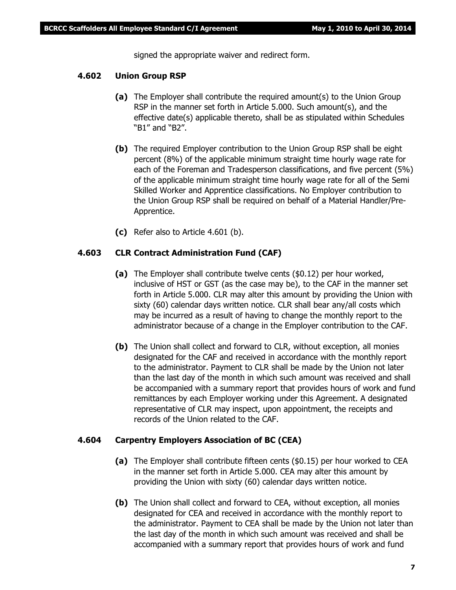signed the appropriate waiver and redirect form.

#### **4.602 Union Group RSP**

- **(a)** The Employer shall contribute the required amount(s) to the Union Group RSP in the manner set forth in Article 5.000. Such amount(s), and the effective date(s) applicable thereto, shall be as stipulated within Schedules "B1" and "B2".
- **(b)** The required Employer contribution to the Union Group RSP shall be eight percent (8%) of the applicable minimum straight time hourly wage rate for each of the Foreman and Tradesperson classifications, and five percent (5%) of the applicable minimum straight time hourly wage rate for all of the Semi Skilled Worker and Apprentice classifications. No Employer contribution to the Union Group RSP shall be required on behalf of a Material Handler/Pre-Apprentice.
- **(c)** Refer also to Article 4.601 (b).

#### **4.603 CLR Contract Administration Fund (CAF)**

- **(a)** The Employer shall contribute twelve cents (\$0.12) per hour worked, inclusive of HST or GST (as the case may be), to the CAF in the manner set forth in Article 5.000. CLR may alter this amount by providing the Union with sixty (60) calendar days written notice. CLR shall bear any/all costs which may be incurred as a result of having to change the monthly report to the administrator because of a change in the Employer contribution to the CAF.
- **(b)** The Union shall collect and forward to CLR, without exception, all monies designated for the CAF and received in accordance with the monthly report to the administrator. Payment to CLR shall be made by the Union not later than the last day of the month in which such amount was received and shall be accompanied with a summary report that provides hours of work and fund remittances by each Employer working under this Agreement. A designated representative of CLR may inspect, upon appointment, the receipts and records of the Union related to the CAF.

#### **4.604 Carpentry Employers Association of BC (CEA)**

- **(a)** The Employer shall contribute fifteen cents (\$0.15) per hour worked to CEA in the manner set forth in Article 5.000. CEA may alter this amount by providing the Union with sixty (60) calendar days written notice.
- **(b)** The Union shall collect and forward to CEA, without exception, all monies designated for CEA and received in accordance with the monthly report to the administrator. Payment to CEA shall be made by the Union not later than the last day of the month in which such amount was received and shall be accompanied with a summary report that provides hours of work and fund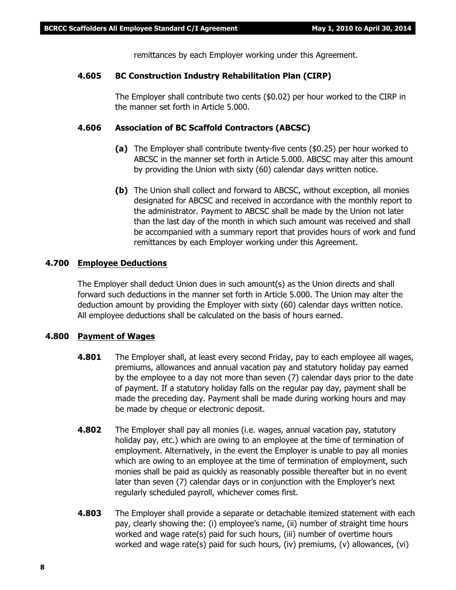remittances by each Employer working under this Agreement.

#### **4.605 BC Construction Industry Rehabilitation Plan (CIRP)**

The Employer shall contribute two cents (\$0.02) per hour worked to the CIRP in the manner set forth in Article 5.000.

#### **4.606 Association of BC Scaffold Contractors (ABCSC)**

- **(a)** The Employer shall contribute twenty-five cents (\$0.25) per hour worked to ABCSC in the manner set forth in Article 5.000. ABCSC may alter this amount by providing the Union with sixty (60) calendar days written notice.
- **(b)** The Union shall collect and forward to ABCSC, without exception, all monies designated for ABCSC and received in accordance with the monthly report to the administrator. Payment to ABCSC shall be made by the Union not later than the last day of the month in which such amount was received and shall be accompanied with a summary report that provides hours of work and fund remittances by each Employer working under this Agreement.

#### **4.700 Employee Deductions**

The Employer shall deduct Union dues in such amount(s) as the Union directs and shall forward such deductions in the manner set forth in Article 5.000. The Union may alter the deduction amount by providing the Employer with sixty (60) calendar days written notice. All employee deductions shall be calculated on the basis of hours earned.

#### **4.800 Payment of Wages**

- **4.801** The Employer shall, at least every second Friday, pay to each employee all wages, premiums, allowances and annual vacation pay and statutory holiday pay earned by the employee to a day not more than seven (7) calendar days prior to the date of payment. If a statutory holiday falls on the regular pay day, payment shall be made the preceding day. Payment shall be made during working hours and may be made by cheque or electronic deposit.
- **4.802** The Employer shall pay all monies (i.e. wages, annual vacation pay, statutory holiday pay, etc.) which are owing to an employee at the time of termination of employment. Alternatively, in the event the Employer is unable to pay all monies which are owing to an employee at the time of termination of employment, such monies shall be paid as quickly as reasonably possible thereafter but in no event later than seven (7) calendar days or in conjunction with the Employer's next regularly scheduled payroll, whichever comes first.
- **4.803** The Employer shall provide a separate or detachable itemized statement with each pay, clearly showing the: (i) employee's name, (ii) number of straight time hours worked and wage rate(s) paid for such hours, (iii) number of overtime hours worked and wage rate(s) paid for such hours, (iv) premiums, (v) allowances, (vi)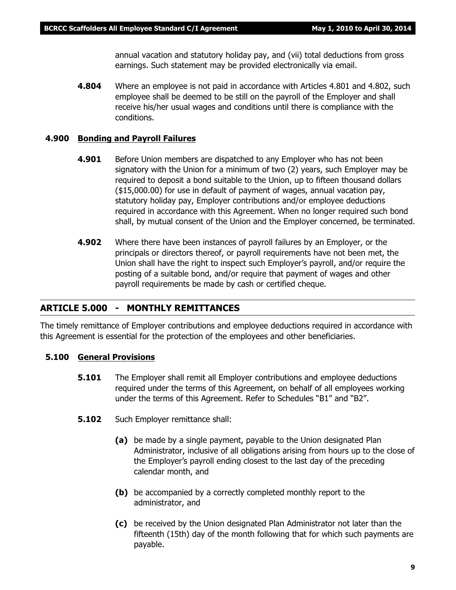annual vacation and statutory holiday pay, and (vii) total deductions from gross earnings. Such statement may be provided electronically via email.

**4.804** Where an employee is not paid in accordance with Articles 4.801 and 4.802, such employee shall be deemed to be still on the payroll of the Employer and shall receive his/her usual wages and conditions until there is compliance with the conditions.

#### **4.900 Bonding and Payroll Failures**

- **4.901** Before Union members are dispatched to any Employer who has not been signatory with the Union for a minimum of two (2) years, such Employer may be required to deposit a bond suitable to the Union, up to fifteen thousand dollars (\$15,000.00) for use in default of payment of wages, annual vacation pay, statutory holiday pay, Employer contributions and/or employee deductions required in accordance with this Agreement. When no longer required such bond shall, by mutual consent of the Union and the Employer concerned, be terminated.
- **4.902** Where there have been instances of payroll failures by an Employer, or the principals or directors thereof, or payroll requirements have not been met, the Union shall have the right to inspect such Employer's payroll, and/or require the posting of a suitable bond, and/or require that payment of wages and other payroll requirements be made by cash or certified cheque.

#### **ARTICLE 5.000 - MONTHLY REMITTANCES**

The timely remittance of Employer contributions and employee deductions required in accordance with this Agreement is essential for the protection of the employees and other beneficiaries.

#### **5.100 General Provisions**

- **5.101** The Employer shall remit all Employer contributions and employee deductions required under the terms of this Agreement, on behalf of all employees working under the terms of this Agreement. Refer to Schedules "B1" and "B2".
- **5.102** Such Employer remittance shall:
	- **(a)** be made by a single payment, payable to the Union designated Plan Administrator, inclusive of all obligations arising from hours up to the close of the Employer's payroll ending closest to the last day of the preceding calendar month, and
	- **(b)** be accompanied by a correctly completed monthly report to the administrator, and
	- **(c)** be received by the Union designated Plan Administrator not later than the fifteenth (15th) day of the month following that for which such payments are payable.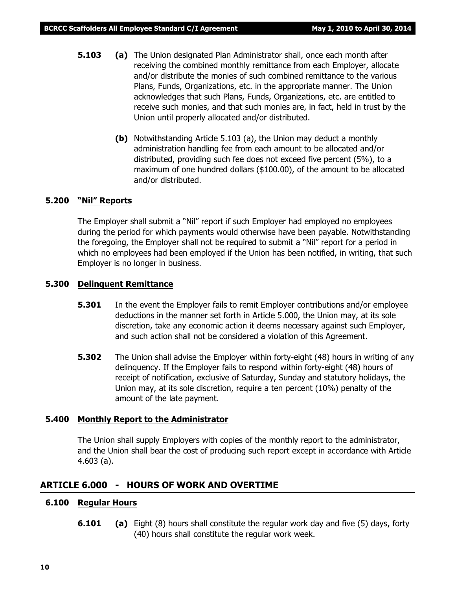- **5.103 (a)** The Union designated Plan Administrator shall, once each month after receiving the combined monthly remittance from each Employer, allocate and/or distribute the monies of such combined remittance to the various Plans, Funds, Organizations, etc. in the appropriate manner. The Union acknowledges that such Plans, Funds, Organizations, etc. are entitled to receive such monies, and that such monies are, in fact, held in trust by the Union until properly allocated and/or distributed.
	- **(b)** Notwithstanding Article 5.103 (a), the Union may deduct a monthly administration handling fee from each amount to be allocated and/or distributed, providing such fee does not exceed five percent (5%), to a maximum of one hundred dollars (\$100.00), of the amount to be allocated and/or distributed.

#### **5.200 "Nil" Reports**

The Employer shall submit a "Nil" report if such Employer had employed no employees during the period for which payments would otherwise have been payable. Notwithstanding the foregoing, the Employer shall not be required to submit a "Nil" report for a period in which no employees had been employed if the Union has been notified, in writing, that such Employer is no longer in business.

#### **5.300 Delinquent Remittance**

- **5.301** In the event the Employer fails to remit Employer contributions and/or employee deductions in the manner set forth in Article 5.000, the Union may, at its sole discretion, take any economic action it deems necessary against such Employer, and such action shall not be considered a violation of this Agreement.
- **5.302** The Union shall advise the Employer within forty-eight (48) hours in writing of any delinquency. If the Employer fails to respond within forty-eight (48) hours of receipt of notification, exclusive of Saturday, Sunday and statutory holidays, the Union may, at its sole discretion, require a ten percent (10%) penalty of the amount of the late payment.

#### **5.400 Monthly Report to the Administrator**

The Union shall supply Employers with copies of the monthly report to the administrator, and the Union shall bear the cost of producing such report except in accordance with Article 4.603 (a).

#### **ARTICLE 6.000 - HOURS OF WORK AND OVERTIME**

#### **6.100 Regular Hours**

**6.101 (a)** Eight (8) hours shall constitute the regular work day and five (5) days, forty (40) hours shall constitute the regular work week.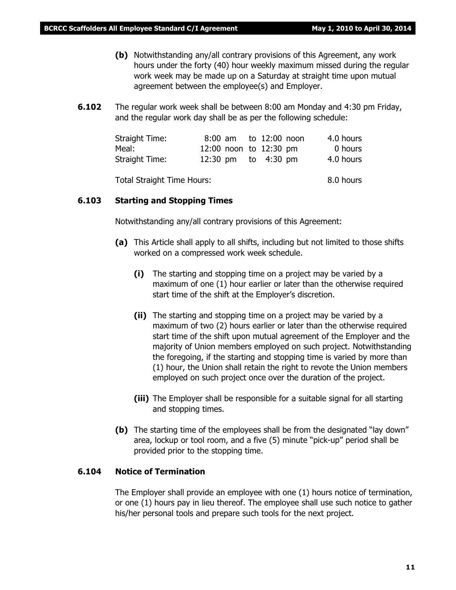- **(b)** Notwithstanding any/all contrary provisions of this Agreement, any work hours under the forty (40) hour weekly maximum missed during the regular work week may be made up on a Saturday at straight time upon mutual agreement between the employee(s) and Employer.
- **6.102** The regular work week shall be between 8:00 am Monday and 4:30 pm Friday, and the regular work day shall be as per the following schedule:

| Straight Time: |                        |  | 8:00 am to 12:00 noon | 4.0 hours |
|----------------|------------------------|--|-----------------------|-----------|
| Meal:          | 12:00 noon to 12:30 pm |  |                       | 0 hours   |
| Straight Time: | 12:30 pm to 4:30 pm    |  |                       | 4.0 hours |

Total Straight Time Hours: 8.0 hours

#### **6.103 Starting and Stopping Times**

Notwithstanding any/all contrary provisions of this Agreement:

- **(a)** This Article shall apply to all shifts, including but not limited to those shifts worked on a compressed work week schedule.
	- **(i)** The starting and stopping time on a project may be varied by a maximum of one (1) hour earlier or later than the otherwise required start time of the shift at the Employer's discretion.
	- **(ii)** The starting and stopping time on a project may be varied by a maximum of two (2) hours earlier or later than the otherwise required start time of the shift upon mutual agreement of the Employer and the majority of Union members employed on such project. Notwithstanding the foregoing, if the starting and stopping time is varied by more than (1) hour, the Union shall retain the right to revote the Union members employed on such project once over the duration of the project.
	- **(iii)** The Employer shall be responsible for a suitable signal for all starting and stopping times.
- **(b)** The starting time of the employees shall be from the designated "lay down" area, lockup or tool room, and a five (5) minute "pick-up" period shall be provided prior to the stopping time.

#### **6.104 Notice of Termination**

The Employer shall provide an employee with one (1) hours notice of termination, or one (1) hours pay in lieu thereof. The employee shall use such notice to gather his/her personal tools and prepare such tools for the next project.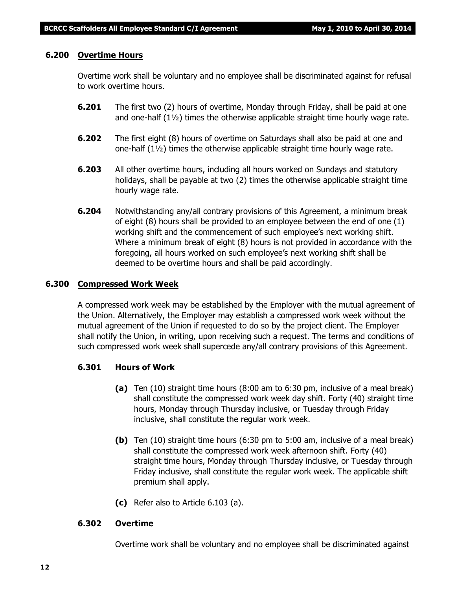#### **6.200 Overtime Hours**

Overtime work shall be voluntary and no employee shall be discriminated against for refusal to work overtime hours.

- **6.201** The first two (2) hours of overtime, Monday through Friday, shall be paid at one and one-half  $(1\frac{1}{2})$  times the otherwise applicable straight time hourly wage rate.
- **6.202** The first eight (8) hours of overtime on Saturdays shall also be paid at one and one-half (1½) times the otherwise applicable straight time hourly wage rate.
- **6.203** All other overtime hours, including all hours worked on Sundays and statutory holidays, shall be payable at two (2) times the otherwise applicable straight time hourly wage rate.
- **6.204** Notwithstanding any/all contrary provisions of this Agreement, a minimum break of eight (8) hours shall be provided to an employee between the end of one (1) working shift and the commencement of such employee's next working shift. Where a minimum break of eight (8) hours is not provided in accordance with the foregoing, all hours worked on such employee's next working shift shall be deemed to be overtime hours and shall be paid accordingly.

#### **6.300 Compressed Work Week**

A compressed work week may be established by the Employer with the mutual agreement of the Union. Alternatively, the Employer may establish a compressed work week without the mutual agreement of the Union if requested to do so by the project client. The Employer shall notify the Union, in writing, upon receiving such a request. The terms and conditions of such compressed work week shall supercede any/all contrary provisions of this Agreement.

#### **6.301 Hours of Work**

- **(a)** Ten (10) straight time hours (8:00 am to 6:30 pm, inclusive of a meal break) shall constitute the compressed work week day shift. Forty (40) straight time hours, Monday through Thursday inclusive, or Tuesday through Friday inclusive, shall constitute the regular work week.
- **(b)** Ten (10) straight time hours (6:30 pm to 5:00 am, inclusive of a meal break) shall constitute the compressed work week afternoon shift. Forty (40) straight time hours, Monday through Thursday inclusive, or Tuesday through Friday inclusive, shall constitute the regular work week. The applicable shift premium shall apply.
- **(c)** Refer also to Article 6.103 (a).

#### **6.302 Overtime**

Overtime work shall be voluntary and no employee shall be discriminated against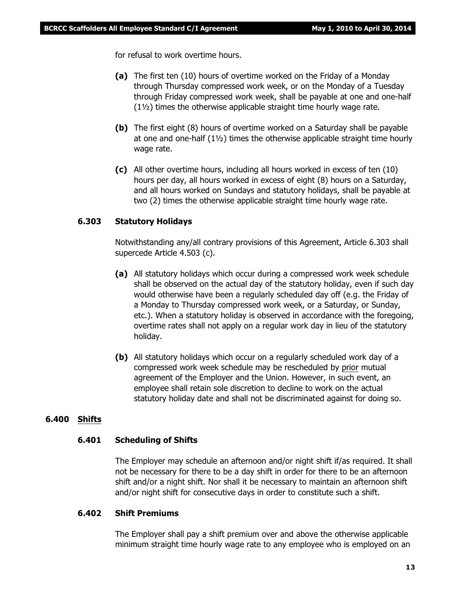for refusal to work overtime hours.

- **(a)** The first ten (10) hours of overtime worked on the Friday of a Monday through Thursday compressed work week, or on the Monday of a Tuesday through Friday compressed work week, shall be payable at one and one-half (1½) times the otherwise applicable straight time hourly wage rate.
- **(b)** The first eight (8) hours of overtime worked on a Saturday shall be payable at one and one-half  $(1\frac{1}{2})$  times the otherwise applicable straight time hourly wage rate.
- **(c)** All other overtime hours, including all hours worked in excess of ten (10) hours per day, all hours worked in excess of eight (8) hours on a Saturday, and all hours worked on Sundays and statutory holidays, shall be payable at two (2) times the otherwise applicable straight time hourly wage rate.

#### **6.303 Statutory Holidays**

Notwithstanding any/all contrary provisions of this Agreement, Article 6.303 shall supercede Article 4.503 (c).

- **(a)** All statutory holidays which occur during a compressed work week schedule shall be observed on the actual day of the statutory holiday, even if such day would otherwise have been a regularly scheduled day off (e.g. the Friday of a Monday to Thursday compressed work week, or a Saturday, or Sunday, etc.). When a statutory holiday is observed in accordance with the foregoing, overtime rates shall not apply on a regular work day in lieu of the statutory holiday.
- **(b)** All statutory holidays which occur on a regularly scheduled work day of a compressed work week schedule may be rescheduled by prior mutual agreement of the Employer and the Union. However, in such event, an employee shall retain sole discretion to decline to work on the actual statutory holiday date and shall not be discriminated against for doing so.

#### **6.400 Shifts**

#### **6.401 Scheduling of Shifts**

The Employer may schedule an afternoon and/or night shift if/as required. It shall not be necessary for there to be a day shift in order for there to be an afternoon shift and/or a night shift. Nor shall it be necessary to maintain an afternoon shift and/or night shift for consecutive days in order to constitute such a shift.

#### **6.402 Shift Premiums**

The Employer shall pay a shift premium over and above the otherwise applicable minimum straight time hourly wage rate to any employee who is employed on an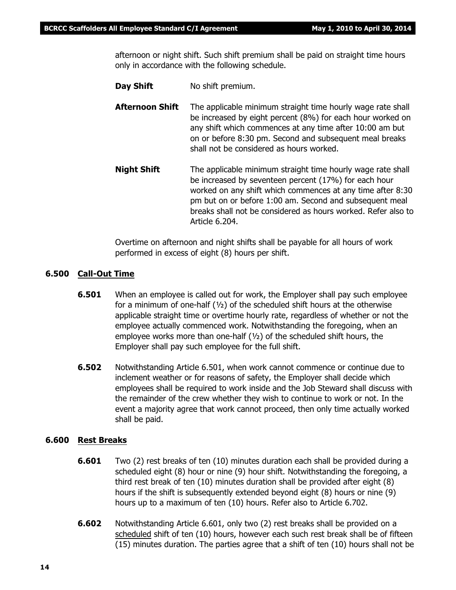afternoon or night shift. Such shift premium shall be paid on straight time hours only in accordance with the following schedule.

- **Day Shift** No shift premium.
- **Afternoon Shift** The applicable minimum straight time hourly wage rate shall be increased by eight percent (8%) for each hour worked on any shift which commences at any time after 10:00 am but on or before 8:30 pm. Second and subsequent meal breaks shall not be considered as hours worked.
- **Night Shift** The applicable minimum straight time hourly wage rate shall be increased by seventeen percent (17%) for each hour worked on any shift which commences at any time after 8:30 pm but on or before 1:00 am. Second and subsequent meal breaks shall not be considered as hours worked. Refer also to Article 6.204.

Overtime on afternoon and night shifts shall be payable for all hours of work performed in excess of eight (8) hours per shift.

#### **6.500 Call-Out Time**

- **6.501** When an employee is called out for work, the Employer shall pay such employee for a minimum of one-half  $(y_2)$  of the scheduled shift hours at the otherwise applicable straight time or overtime hourly rate, regardless of whether or not the employee actually commenced work. Notwithstanding the foregoing, when an employee works more than one-half  $(\frac{1}{2})$  of the scheduled shift hours, the Employer shall pay such employee for the full shift.
- **6.502** Notwithstanding Article 6.501, when work cannot commence or continue due to inclement weather or for reasons of safety, the Employer shall decide which employees shall be required to work inside and the Job Steward shall discuss with the remainder of the crew whether they wish to continue to work or not. In the event a majority agree that work cannot proceed, then only time actually worked shall be paid.

#### **6.600 Rest Breaks**

- **6.601** Two (2) rest breaks of ten (10) minutes duration each shall be provided during a scheduled eight (8) hour or nine (9) hour shift. Notwithstanding the foregoing, a third rest break of ten (10) minutes duration shall be provided after eight (8) hours if the shift is subsequently extended beyond eight (8) hours or nine (9) hours up to a maximum of ten (10) hours. Refer also to Article 6.702.
- **6.602** Notwithstanding Article 6.601, only two (2) rest breaks shall be provided on a scheduled shift of ten (10) hours, however each such rest break shall be of fifteen (15) minutes duration. The parties agree that a shift of ten (10) hours shall not be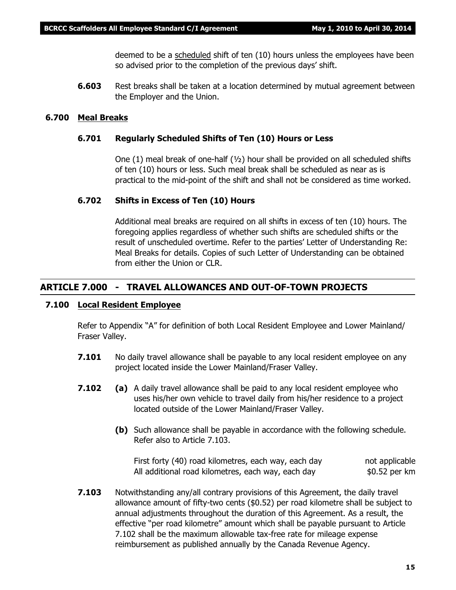deemed to be a scheduled shift of ten (10) hours unless the employees have been so advised prior to the completion of the previous days' shift.

**6.603** Rest breaks shall be taken at a location determined by mutual agreement between the Employer and the Union.

#### **6.700 Meal Breaks**

#### **6.701 Regularly Scheduled Shifts of Ten (10) Hours or Less**

One  $(1)$  meal break of one-half  $(\frac{1}{2})$  hour shall be provided on all scheduled shifts of ten (10) hours or less. Such meal break shall be scheduled as near as is practical to the mid-point of the shift and shall not be considered as time worked.

#### **6.702 Shifts in Excess of Ten (10) Hours**

Additional meal breaks are required on all shifts in excess of ten (10) hours. The foregoing applies regardless of whether such shifts are scheduled shifts or the result of unscheduled overtime. Refer to the parties' Letter of Understanding Re: Meal Breaks for details. Copies of such Letter of Understanding can be obtained from either the Union or CLR.

#### **ARTICLE 7.000 - TRAVEL ALLOWANCES AND OUT-OF-TOWN PROJECTS**

#### **7.100 Local Resident Employee**

Refer to Appendix "A" for definition of both Local Resident Employee and Lower Mainland/ Fraser Valley.

- **7.101** No daily travel allowance shall be payable to any local resident employee on any project located inside the Lower Mainland/Fraser Valley.
- **7.102 (a)** A daily travel allowance shall be paid to any local resident employee who uses his/her own vehicle to travel daily from his/her residence to a project located outside of the Lower Mainland/Fraser Valley.
	- **(b)** Such allowance shall be payable in accordance with the following schedule. Refer also to Article 7.103.

First forty (40) road kilometres, each way, each day not applicable All additional road kilometres, each way, each day  $$0.52$  per km

**7.103** Notwithstanding any/all contrary provisions of this Agreement, the daily travel allowance amount of fifty-two cents (\$0.52) per road kilometre shall be subject to annual adjustments throughout the duration of this Agreement. As a result, the effective "per road kilometre" amount which shall be payable pursuant to Article 7.102 shall be the maximum allowable tax-free rate for mileage expense reimbursement as published annually by the Canada Revenue Agency.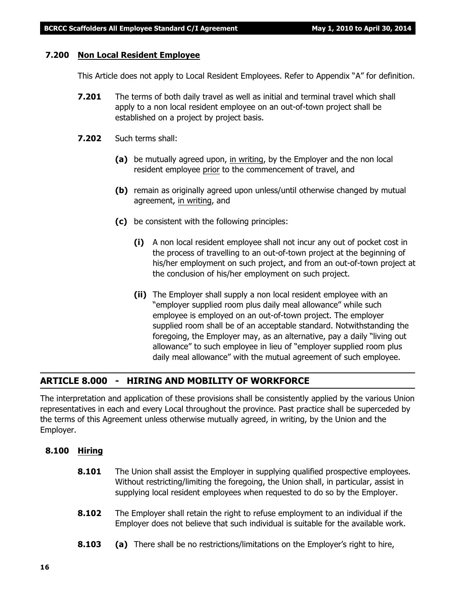#### **7.200 Non Local Resident Employee**

This Article does not apply to Local Resident Employees. Refer to Appendix "A" for definition.

- **7.201** The terms of both daily travel as well as initial and terminal travel which shall apply to a non local resident employee on an out-of-town project shall be established on a project by project basis.
- **7.202** Such terms shall:
	- **(a)** be mutually agreed upon, in writing, by the Employer and the non local resident employee prior to the commencement of travel, and
	- **(b)** remain as originally agreed upon unless/until otherwise changed by mutual agreement, in writing, and
	- **(c)** be consistent with the following principles:
		- **(i)** A non local resident employee shall not incur any out of pocket cost in the process of travelling to an out-of-town project at the beginning of his/her employment on such project, and from an out-of-town project at the conclusion of his/her employment on such project.
		- **(ii)** The Employer shall supply a non local resident employee with an "employer supplied room plus daily meal allowance" while such employee is employed on an out-of-town project. The employer supplied room shall be of an acceptable standard. Notwithstanding the foregoing, the Employer may, as an alternative, pay a daily "living out allowance" to such employee in lieu of "employer supplied room plus daily meal allowance" with the mutual agreement of such employee.

## **ARTICLE 8.000 - HIRING AND MOBILITY OF WORKFORCE**

The interpretation and application of these provisions shall be consistently applied by the various Union representatives in each and every Local throughout the province. Past practice shall be superceded by the terms of this Agreement unless otherwise mutually agreed, in writing, by the Union and the Employer.

#### **8.100 Hiring**

- **8.101** The Union shall assist the Employer in supplying qualified prospective employees. Without restricting/limiting the foregoing, the Union shall, in particular, assist in supplying local resident employees when requested to do so by the Employer.
- **8.102** The Employer shall retain the right to refuse employment to an individual if the Employer does not believe that such individual is suitable for the available work.
- **8.103 (a)** There shall be no restrictions/limitations on the Employer's right to hire,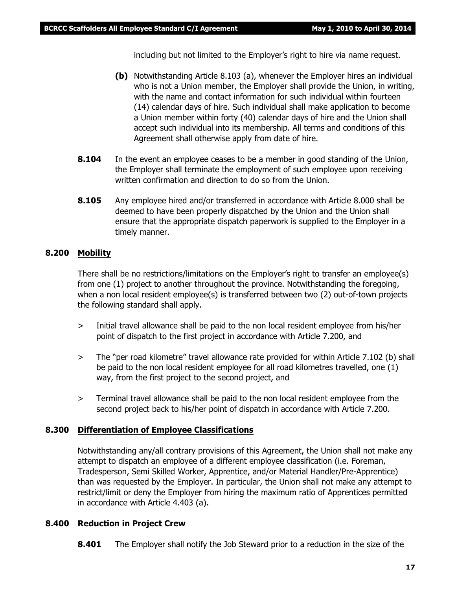including but not limited to the Employer's right to hire via name request.

- **(b)** Notwithstanding Article 8.103 (a), whenever the Employer hires an individual who is not a Union member, the Employer shall provide the Union, in writing, with the name and contact information for such individual within fourteen (14) calendar days of hire. Such individual shall make application to become a Union member within forty (40) calendar days of hire and the Union shall accept such individual into its membership. All terms and conditions of this Agreement shall otherwise apply from date of hire.
- **8.104** In the event an employee ceases to be a member in good standing of the Union, the Employer shall terminate the employment of such employee upon receiving written confirmation and direction to do so from the Union.
- **8.105** Any employee hired and/or transferred in accordance with Article 8.000 shall be deemed to have been properly dispatched by the Union and the Union shall ensure that the appropriate dispatch paperwork is supplied to the Employer in a timely manner.

#### **8.200 Mobility**

There shall be no restrictions/limitations on the Employer's right to transfer an employee(s) from one (1) project to another throughout the province. Notwithstanding the foregoing, when a non local resident employee(s) is transferred between two (2) out-of-town projects the following standard shall apply.

- > Initial travel allowance shall be paid to the non local resident employee from his/her point of dispatch to the first project in accordance with Article 7.200, and
- > The "per road kilometre" travel allowance rate provided for within Article 7.102 (b) shall be paid to the non local resident employee for all road kilometres travelled, one (1) way, from the first project to the second project, and
- > Terminal travel allowance shall be paid to the non local resident employee from the second project back to his/her point of dispatch in accordance with Article 7.200.

#### **8.300 Differentiation of Employee Classifications**

Notwithstanding any/all contrary provisions of this Agreement, the Union shall not make any attempt to dispatch an employee of a different employee classification (i.e. Foreman, Tradesperson, Semi Skilled Worker, Apprentice, and/or Material Handler/Pre-Apprentice) than was requested by the Employer. In particular, the Union shall not make any attempt to restrict/limit or deny the Employer from hiring the maximum ratio of Apprentices permitted in accordance with Article 4.403 (a).

#### **8.400 Reduction in Project Crew**

**8.401** The Employer shall notify the Job Steward prior to a reduction in the size of the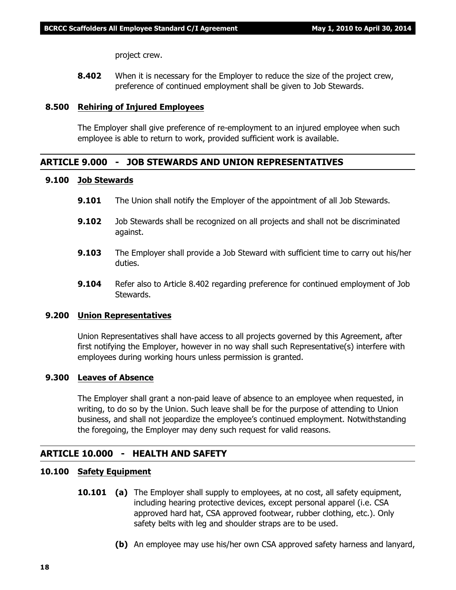project crew.

**8.402** When it is necessary for the Employer to reduce the size of the project crew, preference of continued employment shall be given to Job Stewards.

#### **8.500 Rehiring of Injured Employees**

The Employer shall give preference of re-employment to an injured employee when such employee is able to return to work, provided sufficient work is available.

#### **ARTICLE 9.000 - JOB STEWARDS AND UNION REPRESENTATIVES**

#### **9.100 Job Stewards**

- **9.101** The Union shall notify the Employer of the appointment of all Job Stewards.
- **9.102** Job Stewards shall be recognized on all projects and shall not be discriminated against.
- **9.103** The Employer shall provide a Job Steward with sufficient time to carry out his/her duties.
- **9.104** Refer also to Article 8.402 regarding preference for continued employment of Job Stewards.

#### **9.200 Union Representatives**

Union Representatives shall have access to all projects governed by this Agreement, after first notifying the Employer, however in no way shall such Representative(s) interfere with employees during working hours unless permission is granted.

#### **9.300 Leaves of Absence**

The Employer shall grant a non-paid leave of absence to an employee when requested, in writing, to do so by the Union. Such leave shall be for the purpose of attending to Union business, and shall not jeopardize the employee's continued employment. Notwithstanding the foregoing, the Employer may deny such request for valid reasons.

#### **ARTICLE 10.000 - HEALTH AND SAFETY**

#### **10.100 Safety Equipment**

- **10.101 (a)** The Employer shall supply to employees, at no cost, all safety equipment, including hearing protective devices, except personal apparel (i.e. CSA approved hard hat, CSA approved footwear, rubber clothing, etc.). Only safety belts with leg and shoulder straps are to be used.
	- **(b)** An employee may use his/her own CSA approved safety harness and lanyard,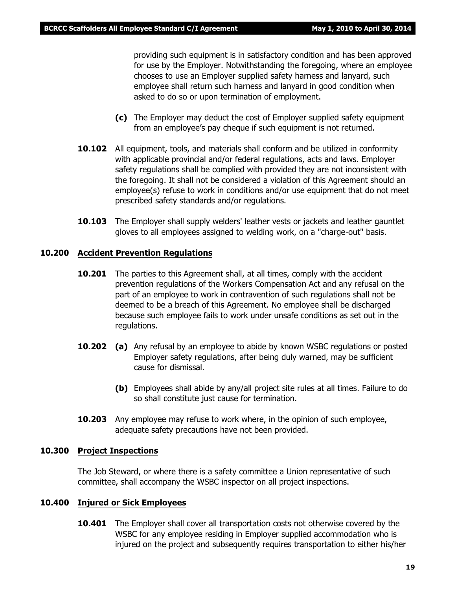providing such equipment is in satisfactory condition and has been approved for use by the Employer. Notwithstanding the foregoing, where an employee chooses to use an Employer supplied safety harness and lanyard, such employee shall return such harness and lanyard in good condition when asked to do so or upon termination of employment.

- **(c)** The Employer may deduct the cost of Employer supplied safety equipment from an employee's pay cheque if such equipment is not returned.
- **10.102** All equipment, tools, and materials shall conform and be utilized in conformity with applicable provincial and/or federal regulations, acts and laws. Employer safety regulations shall be complied with provided they are not inconsistent with the foregoing. It shall not be considered a violation of this Agreement should an employee(s) refuse to work in conditions and/or use equipment that do not meet prescribed safety standards and/or regulations.
- **10.103** The Employer shall supply welders' leather vests or jackets and leather gauntlet gloves to all employees assigned to welding work, on a "charge-out" basis.

#### **10.200 Accident Prevention Regulations**

- **10.201** The parties to this Agreement shall, at all times, comply with the accident prevention regulations of the *Workers Compensation Act* and any refusal on the part of an employee to work in contravention of such regulations shall not be deemed to be a breach of this Agreement. No employee shall be discharged because such employee fails to work under unsafe conditions as set out in the regulations.
- **10.202 (a)** Any refusal by an employee to abide by known WSBC regulations or posted Employer safety regulations, after being duly warned, may be sufficient cause for dismissal.
	- **(b)** Employees shall abide by any/all project site rules at all times. Failure to do so shall constitute just cause for termination.
- **10.203** Any employee may refuse to work where, in the opinion of such employee, adequate safety precautions have not been provided.

#### **10.300 Project Inspections**

The Job Steward, or where there is a safety committee a Union representative of such committee, shall accompany the WSBC inspector on all project inspections.

#### **10.400 Injured or Sick Employees**

**10.401** The Employer shall cover all transportation costs not otherwise covered by the WSBC for any employee residing in Employer supplied accommodation who is injured on the project and subsequently requires transportation to either his/her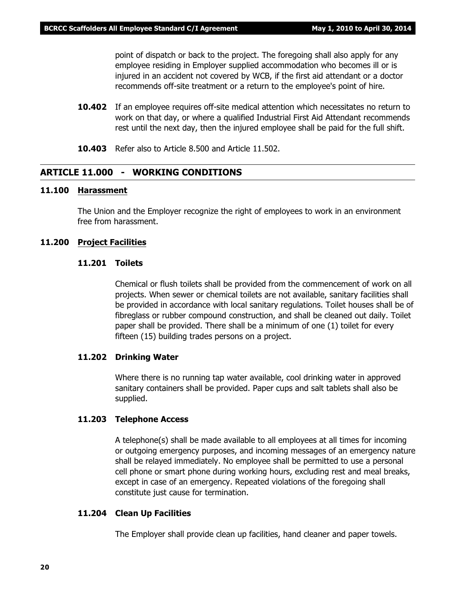point of dispatch or back to the project. The foregoing shall also apply for any employee residing in Employer supplied accommodation who becomes ill or is injured in an accident not covered by WCB, if the first aid attendant or a doctor recommends off-site treatment or a return to the employee's point of hire.

- **10.402** If an employee requires off-site medical attention which necessitates no return to work on that day, or where a qualified Industrial First Aid Attendant recommends rest until the next day, then the injured employee shall be paid for the full shift.
- **10.403** Refer also to Article 8.500 and Article 11.502.

#### **ARTICLE 11.000 - WORKING CONDITIONS**

#### **11.100 Harassment**

The Union and the Employer recognize the right of employees to work in an environment free from harassment.

#### **11.200 Project Facilities**

#### **11.201 Toilets**

Chemical or flush toilets shall be provided from the commencement of work on all projects. When sewer or chemical toilets are not available, sanitary facilities shall be provided in accordance with local sanitary regulations. Toilet houses shall be of fibreglass or rubber compound construction, and shall be cleaned out daily. Toilet paper shall be provided. There shall be a minimum of one (1) toilet for every fifteen (15) building trades persons on a project.

#### **11.202 Drinking Water**

Where there is no running tap water available, cool drinking water in approved sanitary containers shall be provided. Paper cups and salt tablets shall also be supplied.

#### **11.203 Telephone Access**

A telephone(s) shall be made available to all employees at all times for incoming or outgoing emergency purposes, and incoming messages of an emergency nature shall be relayed immediately. No employee shall be permitted to use a personal cell phone or smart phone during working hours, excluding rest and meal breaks, except in case of an emergency. Repeated violations of the foregoing shall constitute just cause for termination.

#### **11.204 Clean Up Facilities**

The Employer shall provide clean up facilities, hand cleaner and paper towels.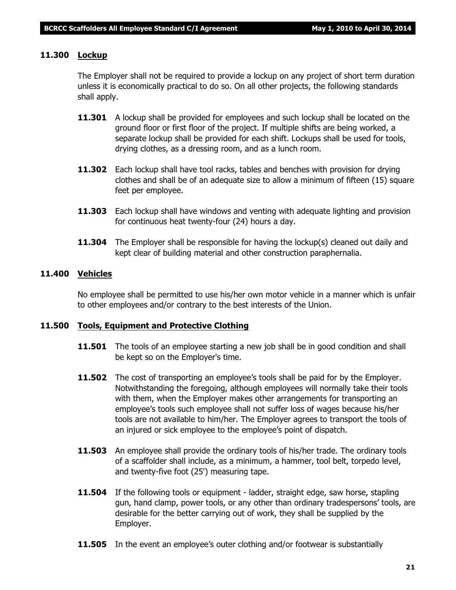#### **11.300 Lockup**

The Employer shall not be required to provide a lockup on any project of short term duration unless it is economically practical to do so. On all other projects, the following standards shall apply.

- **11.301** A lockup shall be provided for employees and such lockup shall be located on the ground floor or first floor of the project. If multiple shifts are being worked, a separate lockup shall be provided for each shift. Lockups shall be used for tools, drying clothes, as a dressing room, and as a lunch room.
- **11.302** Each lockup shall have tool racks, tables and benches with provision for drying clothes and shall be of an adequate size to allow a minimum of fifteen (15) square feet per employee.
- **11.303** Each lockup shall have windows and venting with adequate lighting and provision for continuous heat twenty-four (24) hours a day.
- **11.304** The Employer shall be responsible for having the lockup(s) cleaned out daily and kept clear of building material and other construction paraphernalia.

#### **11.400 Vehicles**

No employee shall be permitted to use his/her own motor vehicle in a manner which is unfair to other employees and/or contrary to the best interests of the Union.

#### **11.500 Tools, Equipment and Protective Clothing**

- **11.501** The tools of an employee starting a new job shall be in good condition and shall be kept so on the Employer's time.
- **11.502** The cost of transporting an employee's tools shall be paid for by the Employer. Notwithstanding the foregoing, although employees will normally take their tools with them, when the Employer makes other arrangements for transporting an employee's tools such employee shall not suffer loss of wages because his/her tools are not available to him/her. The Employer agrees to transport the tools of an injured or sick employee to the employee's point of dispatch.
- **11.503** An employee shall provide the ordinary tools of his/her trade. The ordinary tools of a scaffolder shall include, as a minimum, a hammer, tool belt, torpedo level, and twenty-five foot (25') measuring tape.
- **11.504** If the following tools or equipment ladder, straight edge, saw horse, stapling gun, hand clamp, power tools, or any other than ordinary tradespersons' tools, are desirable for the better carrying out of work, they shall be supplied by the Employer.
- **11.505** In the event an employee's outer clothing and/or footwear is substantially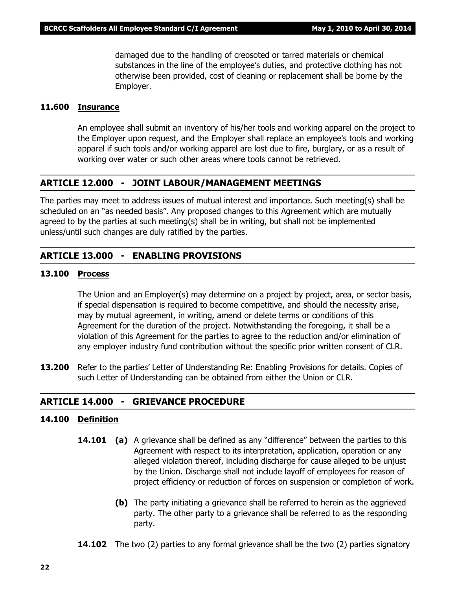damaged due to the handling of creosoted or tarred materials or chemical substances in the line of the employee's duties, and protective clothing has not otherwise been provided, cost of cleaning or replacement shall be borne by the Employer.

#### **11.600 Insurance**

An employee shall submit an inventory of his/her tools and working apparel on the project to the Employer upon request, and the Employer shall replace an employee's tools and working apparel if such tools and/or working apparel are lost due to fire, burglary, or as a result of working over water or such other areas where tools cannot be retrieved.

#### **ARTICLE 12.000 - JOINT LABOUR/MANAGEMENT MEETINGS**

The parties may meet to address issues of mutual interest and importance. Such meeting(s) shall be scheduled on an "as needed basis". Any proposed changes to this Agreement which are mutually agreed to by the parties at such meeting(s) shall be in writing, but shall not be implemented unless/until such changes are duly ratified by the parties.

## **ARTICLE 13.000 - ENABLING PROVISIONS**

#### **13.100 Process**

The Union and an Employer(s) may determine on a project by project, area, or sector basis, if special dispensation is required to become competitive, and should the necessity arise, may by mutual agreement, in writing, amend or delete terms or conditions of this Agreement for the duration of the project. Notwithstanding the foregoing, it shall be a violation of this Agreement for the parties to agree to the reduction and/or elimination of any employer industry fund contribution without the specific prior written consent of CLR.

**13.200** Refer to the parties' Letter of Understanding Re: Enabling Provisions for details. Copies of such Letter of Understanding can be obtained from either the Union or CLR.

#### **ARTICLE 14.000 - GRIEVANCE PROCEDURE**

#### **14.100 Definition**

- **14.101 (a)** A grievance shall be defined as any "difference" between the parties to this Agreement with respect to its interpretation, application, operation or any alleged violation thereof, including discharge for cause alleged to be unjust by the Union. Discharge shall not include layoff of employees for reason of project efficiency or reduction of forces on suspension or completion of work.
	- **(b)** The party initiating a grievance shall be referred to herein as the aggrieved party. The other party to a grievance shall be referred to as the responding party.
- **14.102** The two (2) parties to any formal grievance shall be the two (2) parties signatory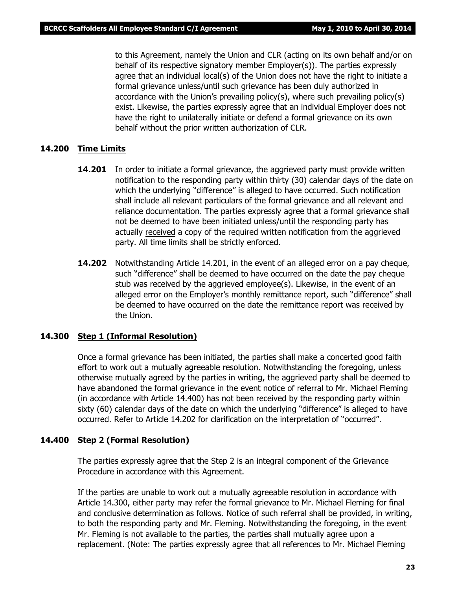to this Agreement, namely the Union and CLR (acting on its own behalf and/or on behalf of its respective signatory member Employer(s)). The parties expressly agree that an individual local(s) of the Union does not have the right to initiate a formal grievance unless/until such grievance has been duly authorized in accordance with the Union's prevailing policy(s), where such prevailing policy(s) exist. Likewise, the parties expressly agree that an individual Employer does not have the right to unilaterally initiate or defend a formal grievance on its own behalf without the prior written authorization of CLR.

#### **14.200 Time Limits**

- **14.201** In order to initiate a formal grievance, the aggrieved party must provide written notification to the responding party within thirty (30) calendar days of the date on which the underlying "difference" is alleged to have occurred. Such notification shall include all relevant particulars of the formal grievance and all relevant and reliance documentation. The parties expressly agree that a formal grievance shall not be deemed to have been initiated unless/until the responding party has actually received a copy of the required written notification from the aggrieved party. All time limits shall be strictly enforced.
- **14.202** Notwithstanding Article 14.201, in the event of an alleged error on a pay cheque, such "difference" shall be deemed to have occurred on the date the pay cheque stub was received by the aggrieved employee(s). Likewise, in the event of an alleged error on the Employer's monthly remittance report, such "difference" shall be deemed to have occurred on the date the remittance report was received by the Union.

#### **14.300 Step 1 (Informal Resolution)**

Once a formal grievance has been initiated, the parties shall make a concerted good faith effort to work out a mutually agreeable resolution. Notwithstanding the foregoing, unless otherwise mutually agreed by the parties in writing, the aggrieved party shall be deemed to have abandoned the formal grievance in the event notice of referral to Mr. Michael Fleming (in accordance with Article 14.400) has not been received by the responding party within sixty (60) calendar days of the date on which the underlying "difference" is alleged to have occurred. Refer to Article 14.202 for clarification on the interpretation of "occurred".

#### **14.400 Step 2 (Formal Resolution)**

The parties expressly agree that the Step 2 is an integral component of the Grievance Procedure in accordance with this Agreement.

If the parties are unable to work out a mutually agreeable resolution in accordance with Article 14.300, either party may refer the formal grievance to Mr. Michael Fleming for final and conclusive determination as follows. Notice of such referral shall be provided, in writing, to both the responding party and Mr. Fleming. Notwithstanding the foregoing, in the event Mr. Fleming is not available to the parties, the parties shall mutually agree upon a replacement. (Note: The parties expressly agree that all references to Mr. Michael Fleming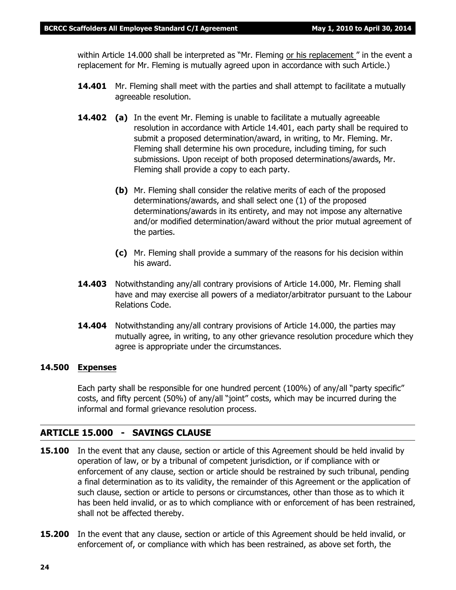within Article 14.000 shall be interpreted as *"Mr. Fleming or his replacement "* in the event a replacement for Mr. Fleming is mutually agreed upon in accordance with such Article.)

- **14.401** Mr. Fleming shall meet with the parties and shall attempt to facilitate a mutually agreeable resolution.
- **14.402 (a)** In the event Mr. Fleming is unable to facilitate a mutually agreeable resolution in accordance with Article 14.401, each party shall be required to submit a proposed determination/award, in writing, to Mr. Fleming. Mr. Fleming shall determine his own procedure, including timing, for such submissions. Upon receipt of both proposed determinations/awards, Mr. Fleming shall provide a copy to each party.
	- **(b)** Mr. Fleming shall consider the relative merits of each of the proposed determinations/awards, and shall select one (1) of the proposed determinations/awards in its entirety, and may not impose any alternative and/or modified determination/award without the prior mutual agreement of the parties.
	- **(c)** Mr. Fleming shall provide a summary of the reasons for his decision within his award.
- **14.403** Notwithstanding any/all contrary provisions of Article 14.000, Mr. Fleming shall have and may exercise all powers of a mediator/arbitrator pursuant to the *Labour Relations Code.*
- **14.404** Notwithstanding any/all contrary provisions of Article 14.000, the parties may mutually agree, in writing, to any other grievance resolution procedure which they agree is appropriate under the circumstances.

#### **14.500 Expenses**

Each party shall be responsible for one hundred percent (100%) of any/all "party specific" costs, and fifty percent (50%) of any/all "joint" costs, which may be incurred during the informal and formal grievance resolution process.

#### **ARTICLE 15.000 - SAVINGS CLAUSE**

- **15.100** In the event that any clause, section or article of this Agreement should be held invalid by operation of law, or by a tribunal of competent jurisdiction, or if compliance with or enforcement of any clause, section or article should be restrained by such tribunal, pending a final determination as to its validity, the remainder of this Agreement or the application of such clause, section or article to persons or circumstances, other than those as to which it has been held invalid, or as to which compliance with or enforcement of has been restrained, shall not be affected thereby.
- **15.200** In the event that any clause, section or article of this Agreement should be held invalid, or enforcement of, or compliance with which has been restrained, as above set forth, the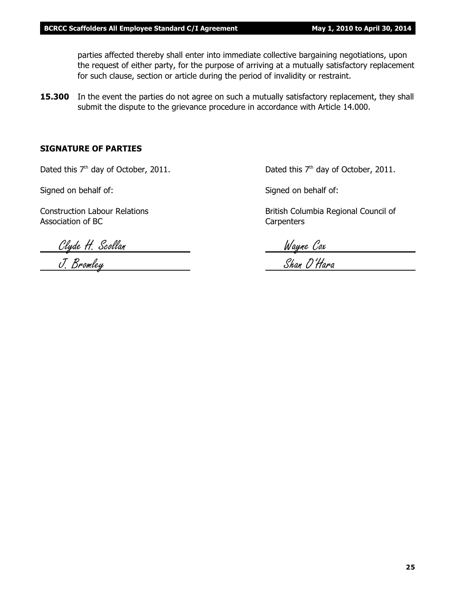parties affected thereby shall enter into immediate collective bargaining negotiations, upon the request of either party, for the purpose of arriving at a mutually satisfactory replacement for such clause, section or article during the period of invalidity or restraint.

**15.300** In the event the parties do not agree on such a mutually satisfactory replacement, they shall submit the dispute to the grievance procedure in accordance with Article 14.000.

#### **SIGNATURE OF PARTIES**

Dated this  $7<sup>th</sup>$  day of October, 2011. Dated this  $7<sup>th</sup>$  day of October, 2011.

Signed on behalf of: Signed on behalf of:

Association of BC Carpenters

Construction Labour Relations **British Columbia Regional Council of** British Columbia Regional Council of

Clyde H. Scollan Wayne Cox

J. Bromley Shan O'Hara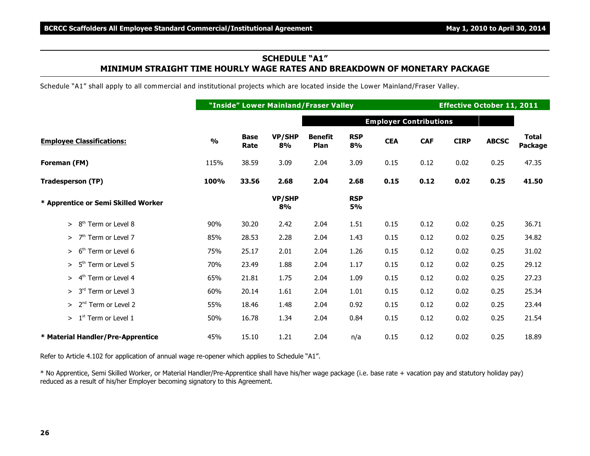#### **SCHEDULE "A1" MINIMUM STRAIGHT TIME HOURLY WAGE RATES AND BREAKDOWN OF MONETARY PACKAGE**

Schedule "A1" shall apply to all commercial and institutional projects which are located inside the Lower Mainland/Fraser Valley.

|                                           |               |                     |              | "Inside" Lower Mainland/Fraser Valley |                  |                               |            | <b>Effective October 11, 2011</b> |              |                                |
|-------------------------------------------|---------------|---------------------|--------------|---------------------------------------|------------------|-------------------------------|------------|-----------------------------------|--------------|--------------------------------|
|                                           |               |                     |              |                                       |                  | <b>Employer Contributions</b> |            |                                   |              |                                |
| <b>Employee Classifications:</b>          | $\frac{0}{0}$ | <b>Base</b><br>Rate | VP/SHP<br>8% | <b>Benefit</b><br>Plan                | <b>RSP</b><br>8% | <b>CEA</b>                    | <b>CAF</b> | <b>CIRP</b>                       | <b>ABCSC</b> | <b>Total</b><br><b>Package</b> |
| Foreman (FM)                              | 115%          | 38.59               | 3.09         | 2.04                                  | 3.09             | 0.15                          | 0.12       | 0.02                              | 0.25         | 47.35                          |
| <b>Tradesperson (TP)</b>                  | 100%          | 33.56               | 2.68         | 2.04                                  | 2.68             | 0.15                          | 0.12       | 0.02                              | 0.25         | 41.50                          |
| * Apprentice or Semi Skilled Worker       |               |                     | VP/SHP<br>8% |                                       | <b>RSP</b><br>5% |                               |            |                                   |              |                                |
| $>8th$ Term or Level 8                    | 90%           | 30.20               | 2.42         | 2.04                                  | 1.51             | 0.15                          | 0.12       | 0.02                              | 0.25         | 36.71                          |
| 7 <sup>th</sup> Term or Level 7<br>$\geq$ | 85%           | 28.53               | 2.28         | 2.04                                  | 1.43             | 0.15                          | 0.12       | 0.02                              | 0.25         | 34.82                          |
| 6 <sup>th</sup> Term or Level 6<br>$\geq$ | 75%           | 25.17               | 2.01         | 2.04                                  | 1.26             | 0.15                          | 0.12       | 0.02                              | 0.25         | 31.02                          |
| 5 <sup>th</sup> Term or Level 5<br>$\geq$ | 70%           | 23.49               | 1.88         | 2.04                                  | 1.17             | 0.15                          | 0.12       | 0.02                              | 0.25         | 29.12                          |
| $> 4th$ Term or Level 4                   | 65%           | 21.81               | 1.75         | 2.04                                  | 1.09             | 0.15                          | 0.12       | 0.02                              | 0.25         | 27.23                          |
| $> 3rd$ Term or Level 3                   | 60%           | 20.14               | 1.61         | 2.04                                  | 1.01             | 0.15                          | 0.12       | 0.02                              | 0.25         | 25.34                          |
| $> 2nd$ Term or Level 2                   | 55%           | 18.46               | 1.48         | 2.04                                  | 0.92             | 0.15                          | 0.12       | 0.02                              | 0.25         | 23.44                          |
| $> 1st$ Term or Level 1                   | 50%           | 16.78               | 1.34         | 2.04                                  | 0.84             | 0.15                          | 0.12       | 0.02                              | 0.25         | 21.54                          |
| * Material Handler/Pre-Apprentice         | 45%           | 15.10               | 1.21         | 2.04                                  | n/a              | 0.15                          | 0.12       | 0.02                              | 0.25         | 18.89                          |

Refer to Article 4.102 for application of annual wage re-opener which applies to Schedule "A1".

\* No Apprentice, Semi Skilled Worker, or Material Handler/Pre-Apprentice shall have his/her wage package (i.e. base rate + vacation pay and statutory holiday pay) reduced as a result of his/her Employer becoming signatory to this Agreement.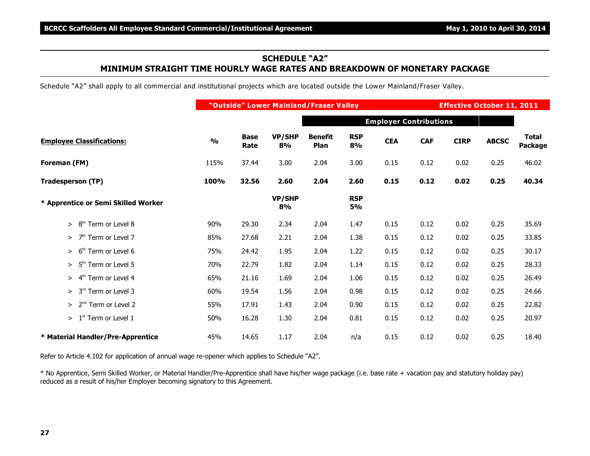#### **SCHEDULE "A2" MINIMUM STRAIGHT TIME HOURLY WAGE RATES AND BREAKDOWN OF MONETARY PACKAGE**

Schedule "A2" shall apply to all commercial and institutional projects which are located outside the Lower Mainland/Fraser Valley.

|                                           |               |                     |                     | "Outside" Lower Mainland/Fraser Valley |                  |                               |            | <b>Effective October 11, 2011</b> |              |                         |
|-------------------------------------------|---------------|---------------------|---------------------|----------------------------------------|------------------|-------------------------------|------------|-----------------------------------|--------------|-------------------------|
|                                           |               |                     |                     |                                        |                  | <b>Employer Contributions</b> |            |                                   |              |                         |
| <b>Employee Classifications:</b>          | $\frac{0}{0}$ | <b>Base</b><br>Rate | <b>VP/SHP</b><br>8% | <b>Benefit</b><br>Plan                 | <b>RSP</b><br>8% | <b>CEA</b>                    | <b>CAF</b> | <b>CIRP</b>                       | <b>ABCSC</b> | <b>Total</b><br>Package |
| Foreman (FM)                              | 115%          | 37.44               | 3.00                | 2.04                                   | 3.00             | 0.15                          | 0.12       | 0.02                              | 0.25         | 46.02                   |
| <b>Tradesperson (TP)</b>                  | 100%          | 32.56               | 2.60                | 2.04                                   | 2.60             | 0.15                          | 0.12       | 0.02                              | 0.25         | 40.34                   |
| * Apprentice or Semi Skilled Worker       |               |                     | VP/SHP<br>8%        |                                        | <b>RSP</b><br>5% |                               |            |                                   |              |                         |
| $>8th$ Term or Level 8                    | 90%           | 29.30               | 2.34                | 2.04                                   | 1.47             | 0.15                          | 0.12       | 0.02                              | 0.25         | 35.69                   |
| 7 <sup>th</sup> Term or Level 7<br>$\geq$ | 85%           | 27.68               | 2.21                | 2.04                                   | 1.38             | 0.15                          | 0.12       | 0.02                              | 0.25         | 33.85                   |
| 6 <sup>th</sup> Term or Level 6<br>$\geq$ | 75%           | 24.42               | 1.95                | 2.04                                   | 1.22             | 0.15                          | 0.12       | 0.02                              | 0.25         | 30.17                   |
| 5 <sup>th</sup> Term or Level 5<br>$\geq$ | 70%           | 22.79               | 1.82                | 2.04                                   | 1.14             | 0.15                          | 0.12       | 0.02                              | 0.25         | 28.33                   |
| 4 <sup>th</sup> Term or Level 4<br>$\geq$ | 65%           | 21.16               | 1.69                | 2.04                                   | 1.06             | 0.15                          | 0.12       | 0.02                              | 0.25         | 26.49                   |
| $> 3rd$ Term or Level 3                   | 60%           | 19.54               | 1.56                | 2.04                                   | 0.98             | 0.15                          | 0.12       | 0.02                              | 0.25         | 24.66                   |
| $> 2nd$ Term or Level 2                   | 55%           | 17.91               | 1.43                | 2.04                                   | 0.90             | 0.15                          | 0.12       | 0.02                              | 0.25         | 22.82                   |
| $>1st$ Term or Level 1                    | 50%           | 16.28               | 1.30                | 2.04                                   | 0.81             | 0.15                          | 0.12       | 0.02                              | 0.25         | 20.97                   |
| * Material Handler/Pre-Apprentice         | 45%           | 14.65               | 1.17                | 2.04                                   | n/a              | 0.15                          | 0.12       | 0.02                              | 0.25         | 18.40                   |

Refer to Article 4.102 for application of annual wage re-opener which applies to Schedule "A2".

\* No Apprentice, Semi Skilled Worker, or Material Handler/Pre-Apprentice shall have his/her wage package (i.e. base rate + vacation pay and statutory holiday pay) reduced as a result of his/her Employer becoming signatory to this Agreement.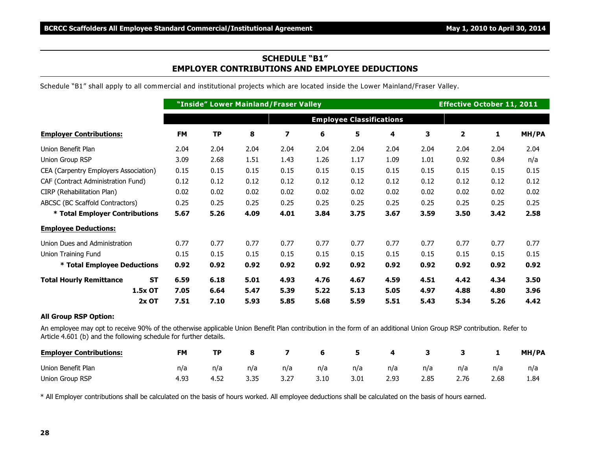#### **SCHEDULE "B1" EMPLOYER CONTRIBUTIONS AND EMPLOYEE DEDUCTIONS**

Schedule "B1" shall apply to all commercial and institutional projects which are located inside the Lower Mainland/Fraser Valley.

|                                             |           |                                 | "Inside" Lower Mainland/Fraser Valley |      |      | <b>Effective October 11, 2011</b> |      |      |      |      |       |  |  |
|---------------------------------------------|-----------|---------------------------------|---------------------------------------|------|------|-----------------------------------|------|------|------|------|-------|--|--|
|                                             |           | <b>Employee Classifications</b> |                                       |      |      |                                   |      |      |      |      |       |  |  |
| <b>Employer Contributions:</b>              | <b>FM</b> | <b>TP</b>                       | 8                                     | 7    | 6    | 5                                 | 4    | 3    | 2    | 1    | MH/PA |  |  |
| Union Benefit Plan                          | 2.04      | 2.04                            | 2.04                                  | 2.04 | 2.04 | 2.04                              | 2.04 | 2.04 | 2.04 | 2.04 | 2.04  |  |  |
| Union Group RSP                             | 3.09      | 2.68                            | 1.51                                  | 1.43 | 1.26 | 1.17                              | 1.09 | 1.01 | 0.92 | 0.84 | n/a   |  |  |
| CEA (Carpentry Employers Association)       | 0.15      | 0.15                            | 0.15                                  | 0.15 | 0.15 | 0.15                              | 0.15 | 0.15 | 0.15 | 0.15 | 0.15  |  |  |
| CAF (Contract Administration Fund)          | 0.12      | 0.12                            | 0.12                                  | 0.12 | 0.12 | 0.12                              | 0.12 | 0.12 | 0.12 | 0.12 | 0.12  |  |  |
| CIRP (Rehabilitation Plan)                  | 0.02      | 0.02                            | 0.02                                  | 0.02 | 0.02 | 0.02                              | 0.02 | 0.02 | 0.02 | 0.02 | 0.02  |  |  |
| ABCSC (BC Scaffold Contractors)             | 0.25      | 0.25                            | 0.25                                  | 0.25 | 0.25 | 0.25                              | 0.25 | 0.25 | 0.25 | 0.25 | 0.25  |  |  |
| * Total Employer Contributions              | 5.67      | 5.26                            | 4.09                                  | 4.01 | 3.84 | 3.75                              | 3.67 | 3.59 | 3.50 | 3.42 | 2.58  |  |  |
| <b>Employee Deductions:</b>                 |           |                                 |                                       |      |      |                                   |      |      |      |      |       |  |  |
| Union Dues and Administration               | 0.77      | 0.77                            | 0.77                                  | 0.77 | 0.77 | 0.77                              | 0.77 | 0.77 | 0.77 | 0.77 | 0.77  |  |  |
| Union Training Fund                         | 0.15      | 0.15                            | 0.15                                  | 0.15 | 0.15 | 0.15                              | 0.15 | 0.15 | 0.15 | 0.15 | 0.15  |  |  |
| * Total Employee Deductions                 | 0.92      | 0.92                            | 0.92                                  | 0.92 | 0.92 | 0.92                              | 0.92 | 0.92 | 0.92 | 0.92 | 0.92  |  |  |
| <b>Total Hourly Remittance</b><br><b>ST</b> | 6.59      | 6.18                            | 5.01                                  | 4.93 | 4.76 | 4.67                              | 4.59 | 4.51 | 4.42 | 4.34 | 3.50  |  |  |
| 1.5x OT                                     | 7.05      | 6.64                            | 5.47                                  | 5.39 | 5.22 | 5.13                              | 5.05 | 4.97 | 4.88 | 4.80 | 3.96  |  |  |
| $2x$ OT                                     | 7.51      | 7.10                            | 5.93                                  | 5.85 | 5.68 | 5.59                              | 5.51 | 5.43 | 5.34 | 5.26 | 4.42  |  |  |
| <b>All Group RSP Option:</b>                |           |                                 |                                       |      |      |                                   |      |      |      |      |       |  |  |

An employee may opt to receive 90% of the otherwise applicable Union Benefit Plan contribution in the form of an additional Union Group RSP contribution. Refer to Article 4.601 (b) and the following schedule for further details.

| <b>Employer Contributions:</b> | <b>FM</b> | ТP   |              |      | 6    |      | 4    |      |      |      | MH/PA |
|--------------------------------|-----------|------|--------------|------|------|------|------|------|------|------|-------|
| Union Benefit Plan             | n/a       | n/a  | n/a          | n/a  | n/a  | n/a  | n/a  | n/a  | n/a  | n/a  | n/a   |
| Union Group RSP                | 4.93      | 4.52 | २ २५<br>J.JJ | 3.27 | 3.10 | 3.01 | 2.93 | 2.85 | 2.76 | 2.68 | 1.84  |

\* All Employer contributions shall be calculated on the basis of hours worked. All employee deductions shall be calculated on the basis of hours earned.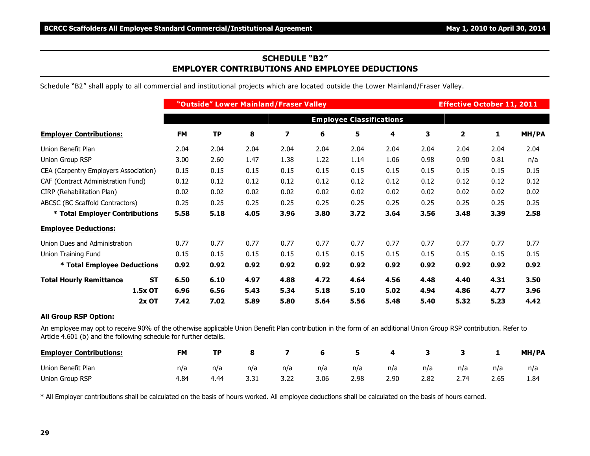#### **SCHEDULE "B2" EMPLOYER CONTRIBUTIONS AND EMPLOYEE DEDUCTIONS**

Schedule "B2" shall apply to all commercial and institutional projects which are located outside the Lower Mainland/Fraser Valley.

|                                             |           |                                 | "Outside" Lower Mainland/Fraser Valley |      |      |      | <b>Effective October 11, 2011</b> |      |      |      |       |  |  |
|---------------------------------------------|-----------|---------------------------------|----------------------------------------|------|------|------|-----------------------------------|------|------|------|-------|--|--|
|                                             |           | <b>Employee Classifications</b> |                                        |      |      |      |                                   |      |      |      |       |  |  |
| <b>Employer Contributions:</b>              | <b>FM</b> | <b>TP</b>                       | 8                                      | 7    | 6    | 5    | 4                                 | 3    | 2    | 1    | MH/PA |  |  |
| Union Benefit Plan                          | 2.04      | 2.04                            | 2.04                                   | 2.04 | 2.04 | 2.04 | 2.04                              | 2.04 | 2.04 | 2.04 | 2.04  |  |  |
| Union Group RSP                             | 3.00      | 2.60                            | 1.47                                   | 1.38 | 1.22 | 1.14 | 1.06                              | 0.98 | 0.90 | 0.81 | n/a   |  |  |
| CEA (Carpentry Employers Association)       | 0.15      | 0.15                            | 0.15                                   | 0.15 | 0.15 | 0.15 | 0.15                              | 0.15 | 0.15 | 0.15 | 0.15  |  |  |
| CAF (Contract Administration Fund)          | 0.12      | 0.12                            | 0.12                                   | 0.12 | 0.12 | 0.12 | 0.12                              | 0.12 | 0.12 | 0.12 | 0.12  |  |  |
| CIRP (Rehabilitation Plan)                  | 0.02      | 0.02                            | 0.02                                   | 0.02 | 0.02 | 0.02 | 0.02                              | 0.02 | 0.02 | 0.02 | 0.02  |  |  |
| ABCSC (BC Scaffold Contractors)             | 0.25      | 0.25                            | 0.25                                   | 0.25 | 0.25 | 0.25 | 0.25                              | 0.25 | 0.25 | 0.25 | 0.25  |  |  |
| * Total Employer Contributions              | 5.58      | 5.18                            | 4.05                                   | 3.96 | 3.80 | 3.72 | 3.64                              | 3.56 | 3.48 | 3.39 | 2.58  |  |  |
| <b>Employee Deductions:</b>                 |           |                                 |                                        |      |      |      |                                   |      |      |      |       |  |  |
| Union Dues and Administration               | 0.77      | 0.77                            | 0.77                                   | 0.77 | 0.77 | 0.77 | 0.77                              | 0.77 | 0.77 | 0.77 | 0.77  |  |  |
| Union Training Fund                         | 0.15      | 0.15                            | 0.15                                   | 0.15 | 0.15 | 0.15 | 0.15                              | 0.15 | 0.15 | 0.15 | 0.15  |  |  |
| * Total Employee Deductions                 | 0.92      | 0.92                            | 0.92                                   | 0.92 | 0.92 | 0.92 | 0.92                              | 0.92 | 0.92 | 0.92 | 0.92  |  |  |
| <b>ST</b><br><b>Total Hourly Remittance</b> | 6.50      | 6.10                            | 4.97                                   | 4.88 | 4.72 | 4.64 | 4.56                              | 4.48 | 4.40 | 4.31 | 3.50  |  |  |
| 1.5x OT                                     | 6.96      | 6.56                            | 5.43                                   | 5.34 | 5.18 | 5.10 | 5.02                              | 4.94 | 4.86 | 4.77 | 3.96  |  |  |
| $2x$ OT                                     | 7.42      | 7.02                            | 5.89                                   | 5.80 | 5.64 | 5.56 | 5.48                              | 5.40 | 5.32 | 5.23 | 4.42  |  |  |
| <b>All Group RSP Option:</b>                |           |                                 |                                        |      |      |      |                                   |      |      |      |       |  |  |

An employee may opt to receive 90% of the otherwise applicable Union Benefit Plan contribution in the form of an additional Union Group RSP contribution. Refer to Article 4.601 (b) and the following schedule for further details.

| <b>Employer Contributions:</b> | FM   | ТP   |     |      | - 6  | -5   | 4    |      |      |      | MH/PA |
|--------------------------------|------|------|-----|------|------|------|------|------|------|------|-------|
| Union Benefit Plan             | n/a  | n/a  | n/a | n/a  | n/a  | n/a  | n/a  | n/a  | n/a  | n/a  | n/a   |
| Union Group RSP                | 4.84 | 4.44 |     | 3.22 | 3.06 | 2.98 | 2.90 | 2.82 | 2.74 | 2.65 | 1.84  |

\* All Employer contributions shall be calculated on the basis of hours worked. All employee deductions shall be calculated on the basis of hours earned.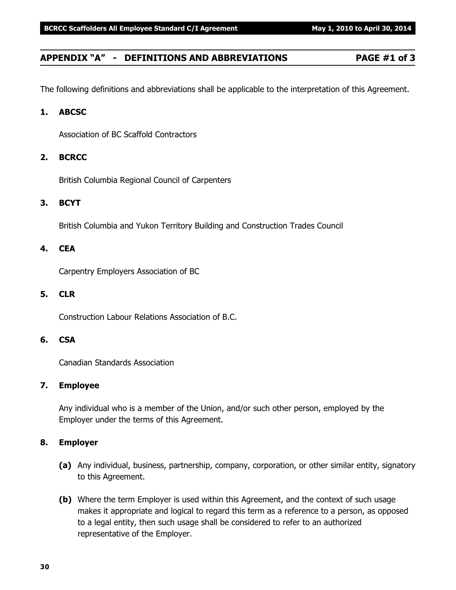#### **APPENDIX "A" - DEFINITIONS AND ABBREVIATIONS PAGE #1 of 3**

The following definitions and abbreviations shall be applicable to the interpretation of this Agreement.

#### **1. ABCSC**

Association of BC Scaffold Contractors

#### **2. BCRCC**

British Columbia Regional Council of Carpenters

#### **3. BCYT**

British Columbia and Yukon Territory Building and Construction Trades Council

#### **4. CEA**

Carpentry Employers Association of BC

#### **5. CLR**

Construction Labour Relations Association of B.C.

#### **6. CSA**

Canadian Standards Association

#### **7. Employee**

Any individual who is a member of the Union, and/or such other person, employed by the Employer under the terms of this Agreement.

#### **8. Employer**

- **(a)** Any individual, business, partnership, company, corporation, or other similar entity, signatory to this Agreement.
- **(b)** Where the term Employer is used within this Agreement, and the context of such usage makes it appropriate and logical to regard this term as a reference to a person, as opposed to a legal entity, then such usage shall be considered to refer to an authorized representative of the Employer.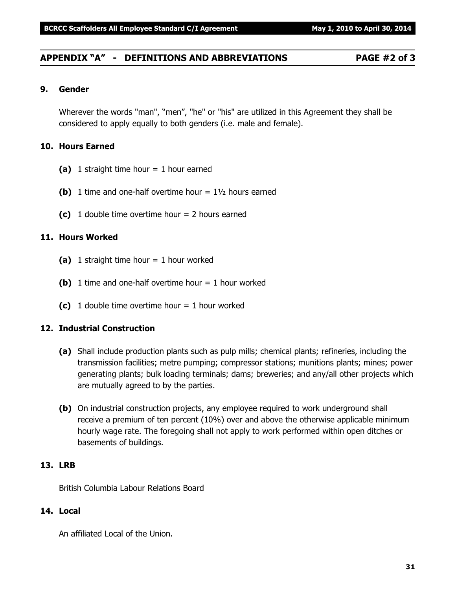#### **APPENDIX "A" - DEFINITIONS AND ABBREVIATIONS PAGE #2 of 3**

#### **9. Gender**

Wherever the words "man", "men", "he" or "his" are utilized in this Agreement they shall be considered to apply equally to both genders (i.e. male and female).

#### **10. Hours Earned**

- **(a)** 1 straight time hour = 1 hour earned
- **(b)** 1 time and one-half overtime hour  $= 1\frac{1}{2}$  hours earned
- **(c)** 1 double time overtime hour = 2 hours earned

#### **11. Hours Worked**

- **(a)** 1 straight time hour = 1 hour worked
- **(b)** 1 time and one-half overtime hour  $= 1$  hour worked
- **(c)** 1 double time overtime hour = 1 hour worked

#### **12. Industrial Construction**

- **(a)** Shall include production plants such as pulp mills; chemical plants; refineries, including the transmission facilities; metre pumping; compressor stations; munitions plants; mines; power generating plants; bulk loading terminals; dams; breweries; and any/all other projects which are mutually agreed to by the parties.
- **(b)** On industrial construction projects, any employee required to work underground shall receive a premium of ten percent (10%) over and above the otherwise applicable minimum hourly wage rate. The foregoing shall not apply to work performed within open ditches or basements of buildings.

#### **13. LRB**

British Columbia Labour Relations Board

#### **14. Local**

An affiliated Local of the Union.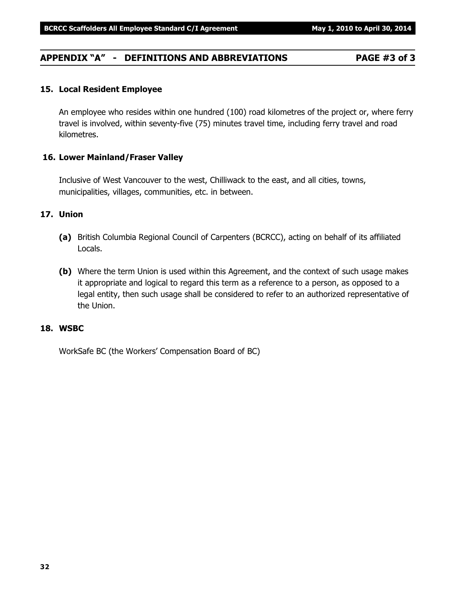#### **APPENDIX "A" - DEFINITIONS AND ABBREVIATIONS PAGE #3 of 3**

#### **15. Local Resident Employee**

An employee who resides within one hundred (100) road kilometres of the project or, where ferry travel is involved, within seventy-five (75) minutes travel time, including ferry travel and road kilometres.

#### **16. Lower Mainland/Fraser Valley**

Inclusive of West Vancouver to the west, Chilliwack to the east, and all cities, towns, municipalities, villages, communities, etc. in between.

#### **17. Union**

- **(a)** British Columbia Regional Council of Carpenters (BCRCC), acting on behalf of its affiliated Locals.
- **(b)** Where the term Union is used within this Agreement, and the context of such usage makes it appropriate and logical to regard this term as a reference to a person, as opposed to a legal entity, then such usage shall be considered to refer to an authorized representative of the Union.

#### **18. WSBC**

WorkSafe BC (the Workers' Compensation Board of BC)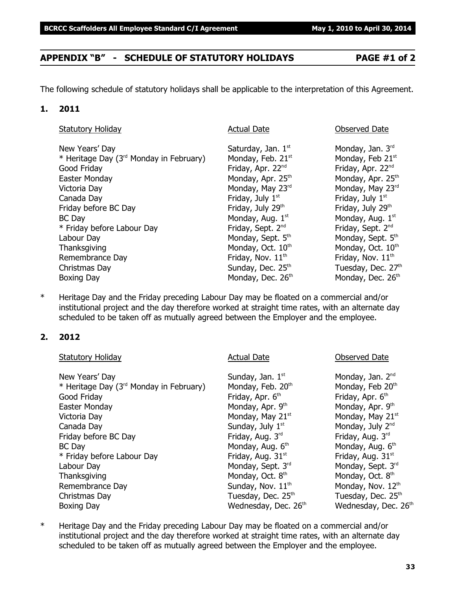### **APPENDIX "B" - SCHEDULE OF STATUTORY HOLIDAYS PAGE #1 of 2**

The following schedule of statutory holidays shall be applicable to the interpretation of this Agreement.

#### **1. 2011**

| <b>Statutory Holiday</b>                            | <b>Actual Date</b>            | Observed Date                 |
|-----------------------------------------------------|-------------------------------|-------------------------------|
| New Years' Day                                      | Saturday, Jan. 1st            | Monday, Jan. 3rd              |
| * Heritage Day (3 <sup>rd</sup> Monday in February) | Monday, Feb. 21 <sup>st</sup> | Monday, Feb 21st              |
| Good Friday                                         | Friday, Apr. 22 <sup>nd</sup> | Friday, Apr. 22nd             |
| Easter Monday                                       | Monday, Apr. 25 <sup>th</sup> | Monday, Apr. 25 <sup>th</sup> |
| Victoria Day                                        | Monday, May 23rd              | Monday, May 23rd              |
| Canada Day                                          | Friday, July 1st              | Friday, July 1st              |
| Friday before BC Day                                | Friday, July 29th             | Friday, July 29th             |
| <b>BC</b> Day                                       | Monday, Aug. 1st              | Monday, Aug. 1st              |
| * Friday before Labour Day                          | Friday, Sept. 2 <sup>nd</sup> | Friday, Sept. 2 <sup>nd</sup> |
| Labour Day                                          | Monday, Sept. 5th             | Monday, Sept. 5th             |
| Thanksgiving                                        | Monday, Oct. 10 <sup>th</sup> | Monday, Oct. 10 <sup>th</sup> |
| Remembrance Day                                     | Friday, Nov. 11 <sup>th</sup> | Friday, Nov. 11 <sup>th</sup> |
| Christmas Day                                       | Sunday, Dec. 25th             | Tuesday, Dec. 27th            |
| Boxing Day                                          | Monday, Dec. 26th             | Monday, Dec. 26th             |

\* Heritage Day and the Friday preceding Labour Day may be floated on a commercial and/or institutional project and the day therefore worked at straight time rates, with an alternate day scheduled to be taken off as mutually agreed between the Employer and the employee.

#### **2. 2012**

| <b>Actual Date</b>            | <b>Observed Date</b>             |
|-------------------------------|----------------------------------|
| Sunday, Jan. 1st              | Monday, Jan. 2 <sup>nd</sup>     |
| Monday, Feb. 20th             | Monday, Feb 20th                 |
| Friday, Apr. 6 <sup>th</sup>  | Friday, Apr. 6 <sup>th</sup>     |
| Monday, Apr. 9th              | Monday, Apr. 9th                 |
| Monday, May 21st              | Monday, May 21st                 |
| Sunday, July 1 <sup>st</sup>  | Monday, July 2 <sup>nd</sup>     |
| Friday, Aug. 3rd              | Friday, Aug. 3rd                 |
| Monday, Aug. 6th              | Monday, Aug. 6th                 |
| Friday, Aug. 31 <sup>st</sup> | Friday, Aug. 31 <sup>st</sup>    |
| Monday, Sept. 3rd             | Monday, Sept. 3rd                |
| Monday, Oct. 8th              | Monday, Oct. 8 <sup>th</sup>     |
| Sunday, Nov. 11 <sup>th</sup> | Monday, Nov. 12th                |
| Tuesday, Dec. 25th            | Tuesday, Dec. 25 <sup>th</sup>   |
| Wednesday, Dec. 26th          | Wednesday, Dec. 26 <sup>th</sup> |
|                               |                                  |

\* Heritage Day and the Friday preceding Labour Day may be floated on a commercial and/or institutional project and the day therefore worked at straight time rates, with an alternate day scheduled to be taken off as mutually agreed between the Employer and the employee.